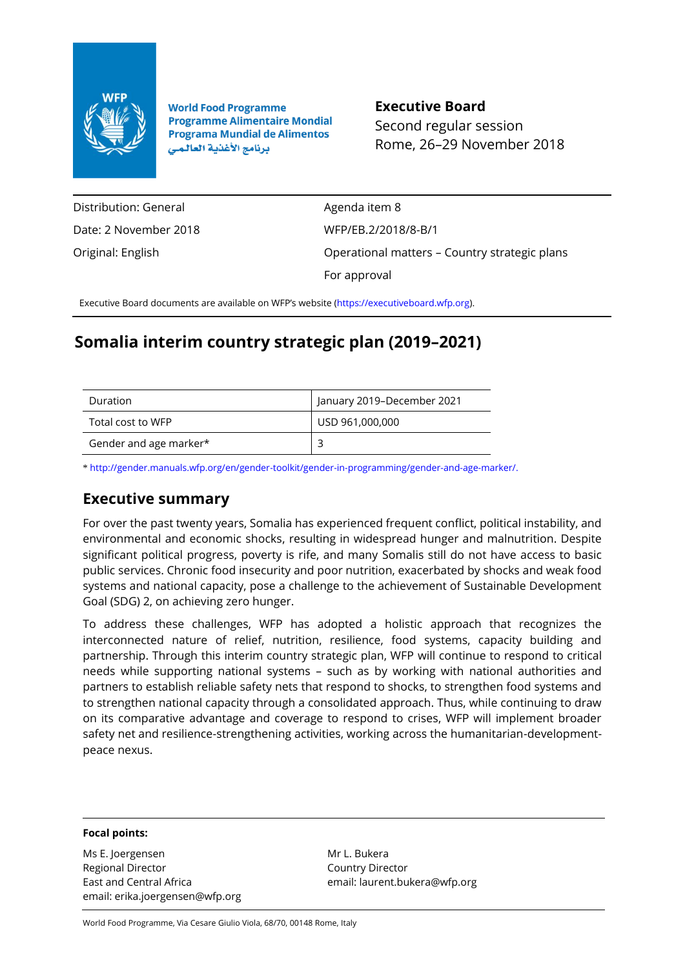

**World Food Programme Programme Alimentaire Mondial Programa Mundial de Alimentos** برنامج الأغذية العالمي

**Executive Board** Second regular session Rome, 26–29 November 2018

Distribution: General Date: 2 November 2018 Original: English

Agenda item 8 WFP/EB.2/2018/8-B/1 Operational matters – Country strategic plans For approval

Executive Board documents are available on WFP's website [\(https://executiveboard.wfp.org\).](https://executiveboard.wfp.org/)

# **Somalia interim country strategic plan (2019–2021)**

| Duration               | January 2019-December 2021 |
|------------------------|----------------------------|
| Total cost to WFP      | USD 961,000,000            |
| Gender and age marker* |                            |

\* [http://gender.manuals.wfp.org/en/gender-toolkit/gender-in-programming/gender-and-age-marker/.](http://gender.manuals.wfp.org/en/gender-toolkit/gender-in-programming/gender-and-age-marker/)

## **Executive summary**

For over the past twenty years, Somalia has experienced frequent conflict, political instability, and environmental and economic shocks, resulting in widespread hunger and malnutrition. Despite significant political progress, poverty is rife, and many Somalis still do not have access to basic public services. Chronic food insecurity and poor nutrition, exacerbated by shocks and weak food systems and national capacity, pose a challenge to the achievement of Sustainable Development Goal (SDG) 2, on achieving zero hunger.

To address these challenges, WFP has adopted a holistic approach that recognizes the interconnected nature of relief, nutrition, resilience, food systems, capacity building and partnership. Through this interim country strategic plan, WFP will continue to respond to critical needs while supporting national systems – such as by working with national authorities and partners to establish reliable safety nets that respond to shocks, to strengthen food systems and to strengthen national capacity through a consolidated approach. Thus, while continuing to draw on its comparative advantage and coverage to respond to crises, WFP will implement broader safety net and resilience-strengthening activities, working across the humanitarian-developmentpeace nexus.

### **Focal points:**

Ms E. Joergensen Regional Director East and Central Africa email: erika.joergensen@wfp.org

Mr L. Bukera Country Director email: laurent.bukera@wfp.org

World Food Programme, Via Cesare Giulio Viola, 68/70, 00148 Rome, Italy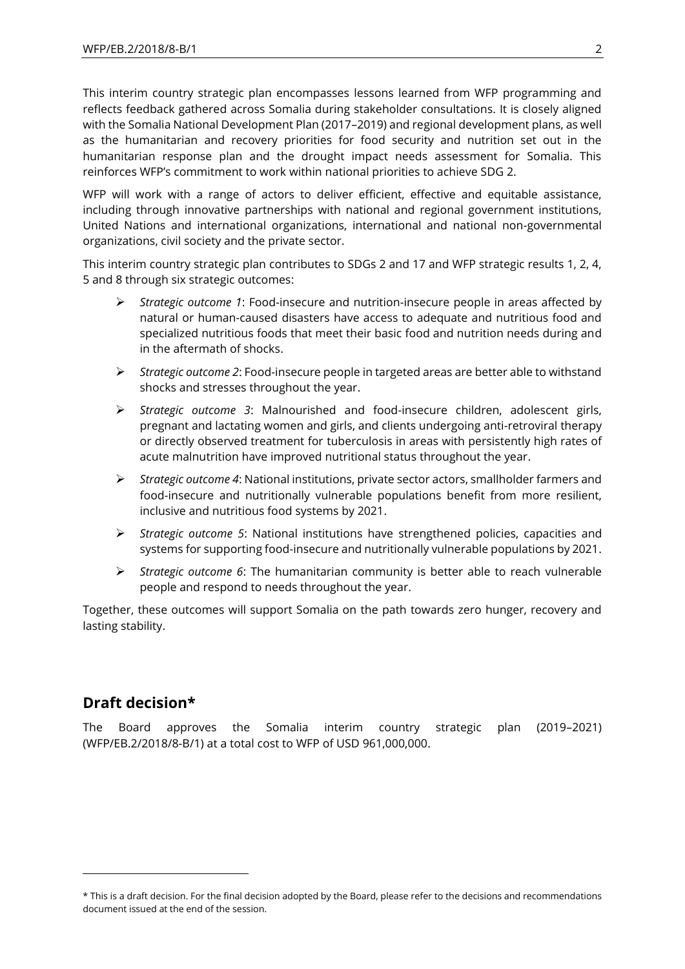This interim country strategic plan encompasses lessons learned from WFP programming and reflects feedback gathered across Somalia during stakeholder consultations. It is closely aligned with the Somalia National Development Plan (2017–2019) and regional development plans, as well as the humanitarian and recovery priorities for food security and nutrition set out in the humanitarian response plan and the drought impact needs assessment for Somalia. This reinforces WFP's commitment to work within national priorities to achieve SDG 2.

WFP will work with a range of actors to deliver efficient, effective and equitable assistance, including through innovative partnerships with national and regional government institutions, United Nations and international organizations, international and national non-governmental organizations, civil society and the private sector.

This interim country strategic plan contributes to SDGs 2 and 17 and WFP strategic results 1, 2, 4, 5 and 8 through six strategic outcomes:

- ➢ *Strategic outcome 1*: Food-insecure and nutrition-insecure people in areas affected by natural or human-caused disasters have access to adequate and nutritious food and specialized nutritious foods that meet their basic food and nutrition needs during and in the aftermath of shocks.
- ➢ *Strategic outcome 2*: Food-insecure people in targeted areas are better able to withstand shocks and stresses throughout the year.
- ➢ *Strategic outcome 3*: Malnourished and food-insecure children, adolescent girls, pregnant and lactating women and girls, and clients undergoing anti-retroviral therapy or directly observed treatment for tuberculosis in areas with persistently high rates of acute malnutrition have improved nutritional status throughout the year.
- ➢ *Strategic outcome 4*: National institutions, private sector actors, smallholder farmers and food-insecure and nutritionally vulnerable populations benefit from more resilient, inclusive and nutritious food systems by 2021.
- ➢ *Strategic outcome 5*: National institutions have strengthened policies, capacities and systems for supporting food-insecure and nutritionally vulnerable populations by 2021.
- ➢ *Strategic outcome 6*: The humanitarian community is better able to reach vulnerable people and respond to needs throughout the year.

Together, these outcomes will support Somalia on the path towards zero hunger, recovery and lasting stability.

## **Draft decision\***

1

The Board approves the Somalia interim country strategic plan (2019–2021) (WFP/EB.2/2018/8-B/1) at a total cost to WFP of USD 961,000,000.

<sup>\*</sup> This is a draft decision. For the final decision adopted by the Board, please refer to the decisions and recommendations document issued at the end of the session.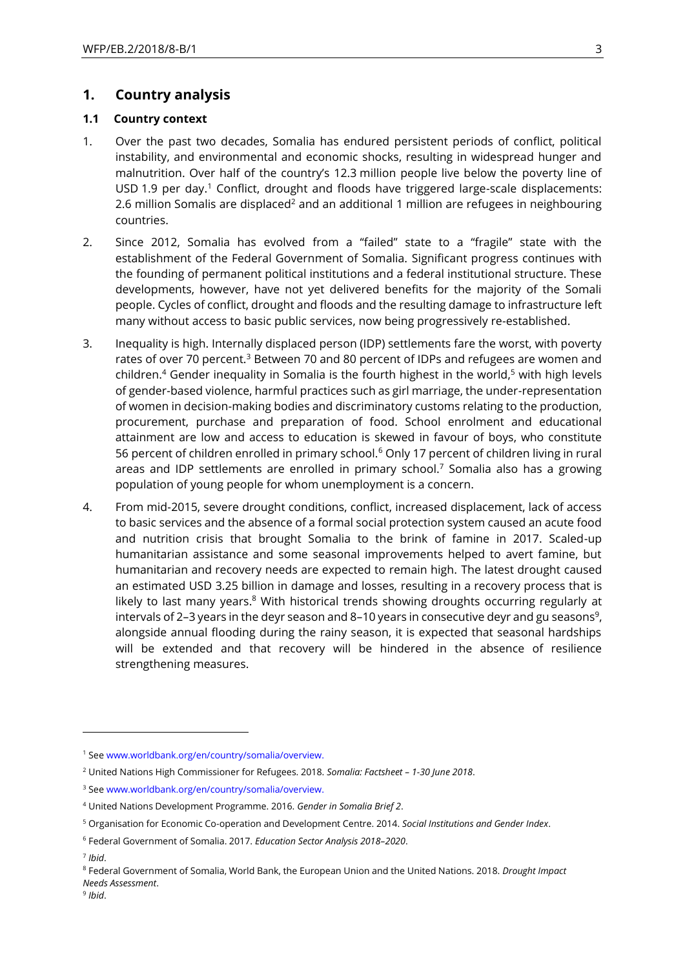## **1. Country analysis**

## **1.1 Country context**

- 1. Over the past two decades, Somalia has endured persistent periods of conflict, political instability, and environmental and economic shocks, resulting in widespread hunger and malnutrition. Over half of the country's 12.3 million people live below the poverty line of USD 1.9 per day.<sup>1</sup> Conflict, drought and floods have triggered large-scale displacements: 2.6 million Somalis are displaced<sup>2</sup> and an additional 1 million are refugees in neighbouring countries.
- 2. Since 2012, Somalia has evolved from a "failed" state to a "fragile" state with the establishment of the Federal Government of Somalia. Significant progress continues with the founding of permanent political institutions and a federal institutional structure. These developments, however, have not yet delivered benefits for the majority of the Somali people. Cycles of conflict, drought and floods and the resulting damage to infrastructure left many without access to basic public services, now being progressively re-established.
- 3. Inequality is high. Internally displaced person (IDP) settlements fare the worst, with poverty rates of over 70 percent.<sup>3</sup> Between 70 and 80 percent of IDPs and refugees are women and children.<sup>4</sup> Gender inequality in Somalia is the fourth highest in the world,<sup>5</sup> with high levels of gender-based violence, harmful practices such as girl marriage, the under-representation of women in decision-making bodies and discriminatory customs relating to the production, procurement, purchase and preparation of food. School enrolment and educational attainment are low and access to education is skewed in favour of boys, who constitute 56 percent of children enrolled in primary school.<sup>6</sup> Only 17 percent of children living in rural areas and IDP settlements are enrolled in primary school.<sup>7</sup> Somalia also has a growing population of young people for whom unemployment is a concern.
- 4. From mid-2015, severe drought conditions, conflict, increased displacement, lack of access to basic services and the absence of a formal social protection system caused an acute food and nutrition crisis that brought Somalia to the brink of famine in 2017. Scaled-up humanitarian assistance and some seasonal improvements helped to avert famine, but humanitarian and recovery needs are expected to remain high. The latest drought caused an estimated USD 3.25 billion in damage and losses, resulting in a recovery process that is likely to last many years.<sup>8</sup> With historical trends showing droughts occurring regularly at intervals of 2–3 years in the deyr season and 8–10 years in consecutive deyr and gu seasons<sup>9</sup>, alongside annual flooding during the rainy season, it is expected that seasonal hardships will be extended and that recovery will be hindered in the absence of resilience strengthening measures.

-

<sup>1</sup> Se[e www.worldbank.org/en/country/somalia/overview.](http://www.worldbank.org/en/country/somalia/overview)

<sup>2</sup> United Nations High Commissioner for Refugees. 2018. *Somalia: Factsheet – 1-30 June 2018*.

<sup>3</sup> Se[e www.worldbank.org/en/country/somalia/overview.](http://www.worldbank.org/en/country/somalia/overview)

<sup>4</sup> United Nations Development Programme. 2016. *Gender in Somalia Brief 2*.

<sup>5</sup> Organisation for Economic Co-operation and Development Centre. 2014. *Social Institutions and Gender Index*.

<sup>6</sup> Federal Government of Somalia. 2017. *Education Sector Analysis 2018–2020*.

<sup>7</sup> *Ibid*.

<sup>8</sup> Federal Government of Somalia, World Bank, the European Union and the United Nations. 2018. *Drought Impact Needs Assessment*.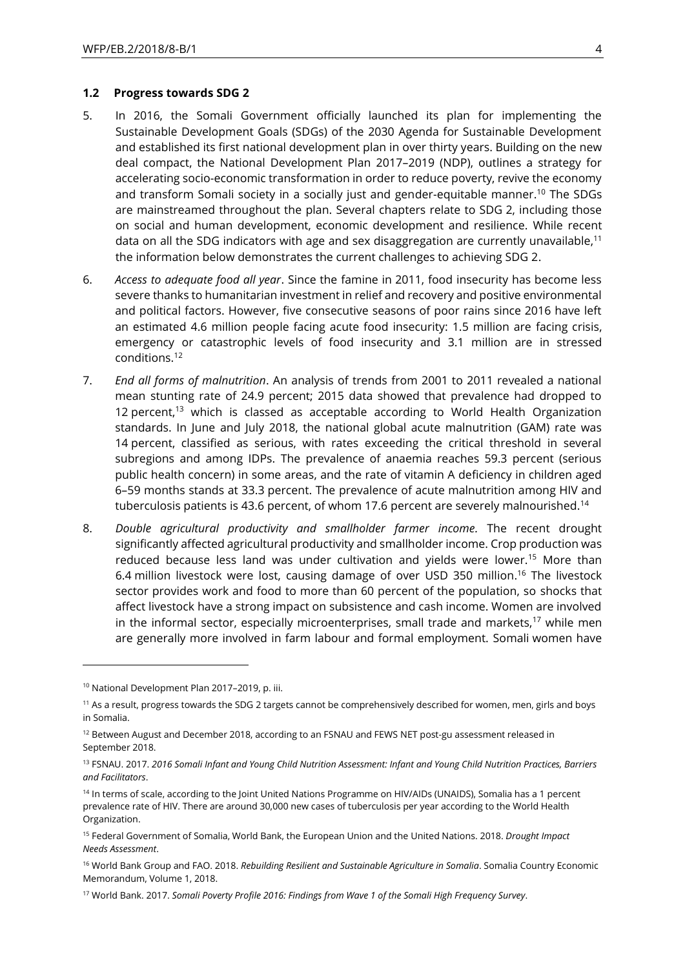### **1.2 Progress towards SDG 2**

- 5. In 2016, the Somali Government officially launched its plan for implementing the Sustainable Development Goals (SDGs) of the 2030 Agenda for Sustainable Development and established its first national development plan in over thirty years. Building on the new deal compact, the National Development Plan 2017–2019 (NDP), outlines a strategy for accelerating socio-economic transformation in order to reduce poverty, revive the economy and transform Somali society in a socially just and gender-equitable manner.<sup>10</sup> The SDGs are mainstreamed throughout the plan. Several chapters relate to SDG 2, including those on social and human development, economic development and resilience. While recent data on all the SDG indicators with age and sex disaggregation are currently unavailable,<sup>11</sup> the information below demonstrates the current challenges to achieving SDG 2.
- 6. *Access to adequate food all year*. Since the famine in 2011, food insecurity has become less severe thanks to humanitarian investment in relief and recovery and positive environmental and political factors. However, five consecutive seasons of poor rains since 2016 have left an estimated 4.6 million people facing acute food insecurity: 1.5 million are facing crisis, emergency or catastrophic levels of food insecurity and 3.1 million are in stressed conditions.<sup>12</sup>
- 7. *End all forms of malnutrition*. An analysis of trends from 2001 to 2011 revealed a national mean stunting rate of 24.9 percent; 2015 data showed that prevalence had dropped to 12 percent,<sup>13</sup> which is classed as acceptable according to World Health Organization standards. In June and July 2018, the national global acute malnutrition (GAM) rate was 14 percent, classified as serious, with rates exceeding the critical threshold in several subregions and among IDPs. The prevalence of anaemia reaches 59.3 percent (serious public health concern) in some areas, and the rate of vitamin A deficiency in children aged 6–59 months stands at 33.3 percent. The prevalence of acute malnutrition among HIV and tuberculosis patients is 43.6 percent, of whom 17.6 percent are severely malnourished.<sup>14</sup>
- 8. *Double agricultural productivity and smallholder farmer income.* The recent drought significantly affected agricultural productivity and smallholder income. Crop production was reduced because less land was under cultivation and yields were lower.<sup>15</sup> More than 6.4 million livestock were lost, causing damage of over USD 350 million. <sup>16</sup> The livestock sector provides work and food to more than 60 percent of the population, so shocks that affect livestock have a strong impact on subsistence and cash income. Women are involved in the informal sector, especially microenterprises, small trade and markets, $17$  while men are generally more involved in farm labour and formal employment. Somali women have

1

<sup>10</sup> National Development Plan 2017–2019, p. iii.

 $11$  As a result, progress towards the SDG 2 targets cannot be comprehensively described for women, men, girls and boys in Somalia.

<sup>&</sup>lt;sup>12</sup> Between August and December 2018, according to an FSNAU and FEWS NET post-gu assessment released in September 2018.

<sup>13</sup> FSNAU. 2017. *2016 Somali Infant and Young Child Nutrition Assessment: Infant and Young Child Nutrition Practices, Barriers and Facilitators*.

<sup>&</sup>lt;sup>14</sup> In terms of scale, according to the Joint United Nations Programme on HIV/AIDs (UNAIDS), Somalia has a 1 percent prevalence rate of HIV. There are around 30,000 new cases of tuberculosis per year according to the World Health Organization.

<sup>15</sup> Federal Government of Somalia, World Bank, the European Union and the United Nations. 2018. *Drought Impact Needs Assessment*.

<sup>16</sup> World Bank Group and FAO. 2018. *Rebuilding Resilient and Sustainable Agriculture in Somalia*. Somalia Country Economic Memorandum, Volume 1, 2018.

<sup>17</sup> World Bank. 2017. *Somali Poverty Profile 2016: Findings from Wave 1 of the Somali High Frequency Survey*.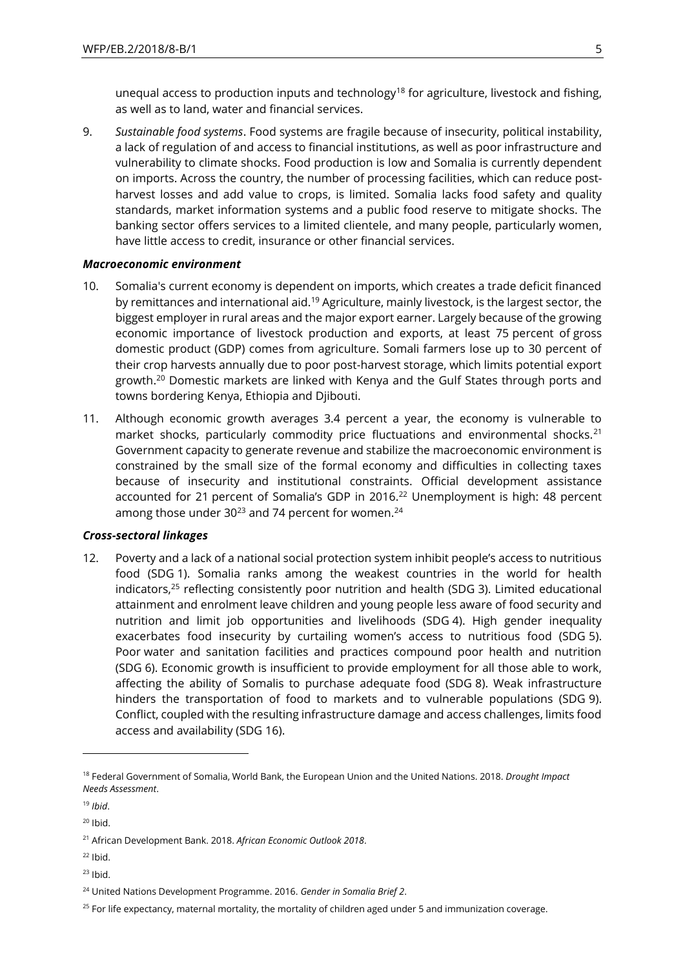unequal access to production inputs and technology<sup>18</sup> for agriculture, livestock and fishing, as well as to land, water and financial services.

9. *Sustainable food systems*. Food systems are fragile because of insecurity, political instability, a lack of regulation of and access to financial institutions, as well as poor infrastructure and vulnerability to climate shocks. Food production is low and Somalia is currently dependent on imports. Across the country, the number of processing facilities, which can reduce postharvest losses and add value to crops, is limited. Somalia lacks food safety and quality standards, market information systems and a public food reserve to mitigate shocks. The banking sector offers services to a limited clientele, and many people, particularly women, have little access to credit, insurance or other financial services.

### *Macroeconomic environment*

- 10. Somalia's current economy is dependent on imports, which creates a trade deficit financed by remittances and international aid.<sup>19</sup> Agriculture, mainly livestock, is the largest sector, the biggest employer in rural areas and the major export earner. Largely because of the growing economic importance of livestock production and exports, at least 75 percent of gross domestic product (GDP) comes from agriculture. Somali farmers lose up to 30 percent of their crop harvests annually due to poor post-harvest storage, which limits potential export growth.<sup>20</sup> Domestic markets are linked with Kenya and the Gulf States through ports and towns bordering Kenya, Ethiopia and Djibouti.
- 11. Although economic growth averages 3.4 percent a year, the economy is vulnerable to market shocks, particularly commodity price fluctuations and environmental shocks.<sup>21</sup> Government capacity to generate revenue and stabilize the macroeconomic environment is constrained by the small size of the formal economy and difficulties in collecting taxes because of insecurity and institutional constraints. Official development assistance accounted for 21 percent of Somalia's GDP in 2016.<sup>22</sup> Unemployment is high: 48 percent among those under  $30^{23}$  and 74 percent for women.<sup>24</sup>

## *Cross-sectoral linkages*

12. Poverty and a lack of a national social protection system inhibit people's access to nutritious food (SDG 1). Somalia ranks among the weakest countries in the world for health indicators,<sup>25</sup> reflecting consistently poor nutrition and health (SDG 3). Limited educational attainment and enrolment leave children and young people less aware of food security and nutrition and limit job opportunities and livelihoods (SDG 4). High gender inequality exacerbates food insecurity by curtailing women's access to nutritious food (SDG 5). Poor water and sanitation facilities and practices compound poor health and nutrition (SDG 6). Economic growth is insufficient to provide employment for all those able to work, affecting the ability of Somalis to purchase adequate food (SDG 8). Weak infrastructure hinders the transportation of food to markets and to vulnerable populations (SDG 9). Conflict, coupled with the resulting infrastructure damage and access challenges, limits food access and availability (SDG 16).

-

- $22$  Ibid.
- $23$  Ibid.

<sup>18</sup> Federal Government of Somalia, World Bank, the European Union and the United Nations. 2018. *Drought Impact Needs Assessment*.

<sup>19</sup> *Ibid*.

 $20$  Ibid.

<sup>21</sup> African Development Bank. 2018. *African Economic Outlook 2018*.

<sup>24</sup> United Nations Development Programme. 2016. *Gender in Somalia Brief 2*.

<sup>&</sup>lt;sup>25</sup> For life expectancy, maternal mortality, the mortality of children aged under 5 and immunization coverage.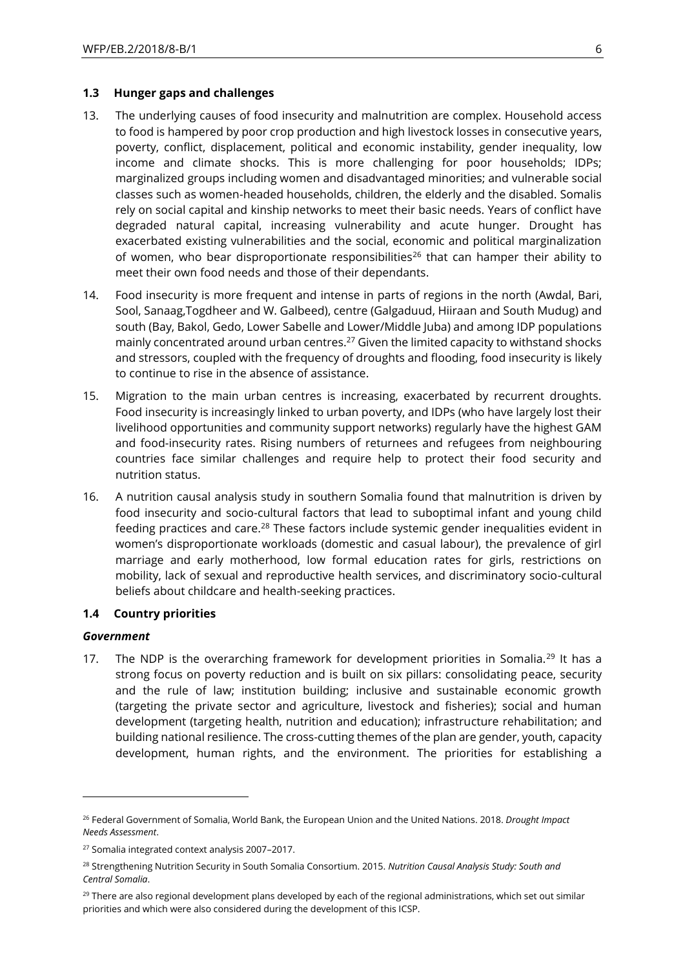### **1.3 Hunger gaps and challenges**

- 13. The underlying causes of food insecurity and malnutrition are complex. Household access to food is hampered by poor crop production and high livestock losses in consecutive years, poverty, conflict, displacement, political and economic instability, gender inequality, low income and climate shocks. This is more challenging for poor households; IDPs; marginalized groups including women and disadvantaged minorities; and vulnerable social classes such as women-headed households, children, the elderly and the disabled. Somalis rely on social capital and kinship networks to meet their basic needs. Years of conflict have degraded natural capital, increasing vulnerability and acute hunger. Drought has exacerbated existing vulnerabilities and the social, economic and political marginalization of women, who bear disproportionate responsibilities<sup>26</sup> that can hamper their ability to meet their own food needs and those of their dependants.
- 14. Food insecurity is more frequent and intense in parts of regions in the north (Awdal, Bari, Sool, Sanaag,Togdheer and W. Galbeed), centre (Galgaduud, Hiiraan and South Mudug) and south (Bay, Bakol, Gedo, Lower Sabelle and Lower/Middle Juba) and among IDP populations mainly concentrated around urban centres.<sup>27</sup> Given the limited capacity to withstand shocks and stressors, coupled with the frequency of droughts and flooding, food insecurity is likely to continue to rise in the absence of assistance.
- 15. Migration to the main urban centres is increasing, exacerbated by recurrent droughts. Food insecurity is increasingly linked to urban poverty, and IDPs (who have largely lost their livelihood opportunities and community support networks) regularly have the highest GAM and food-insecurity rates. Rising numbers of returnees and refugees from neighbouring countries face similar challenges and require help to protect their food security and nutrition status.
- 16. A nutrition causal analysis study in southern Somalia found that malnutrition is driven by food insecurity and socio-cultural factors that lead to suboptimal infant and young child feeding practices and care.<sup>28</sup> These factors include systemic gender inequalities evident in women's disproportionate workloads (domestic and casual labour), the prevalence of girl marriage and early motherhood, low formal education rates for girls, restrictions on mobility, lack of sexual and reproductive health services, and discriminatory socio-cultural beliefs about childcare and health-seeking practices.

## **1.4 Country priorities**

### *Government*

-

17. The NDP is the overarching framework for development priorities in Somalia.<sup>29</sup> It has a strong focus on poverty reduction and is built on six pillars: consolidating peace, security and the rule of law; institution building; inclusive and sustainable economic growth (targeting the private sector and agriculture, livestock and fisheries); social and human development (targeting health, nutrition and education); infrastructure rehabilitation; and building national resilience. The cross-cutting themes of the plan are gender, youth, capacity development, human rights, and the environment. The priorities for establishing a

<sup>26</sup> Federal Government of Somalia, World Bank, the European Union and the United Nations. 2018. *Drought Impact Needs Assessment*.

<sup>27</sup> Somalia integrated context analysis 2007–2017.

<sup>28</sup> Strengthening Nutrition Security in South Somalia Consortium. 2015. *Nutrition Causal Analysis Study: South and Central Somalia*.

 $29$  There are also regional development plans developed by each of the regional administrations, which set out similar priorities and which were also considered during the development of this ICSP.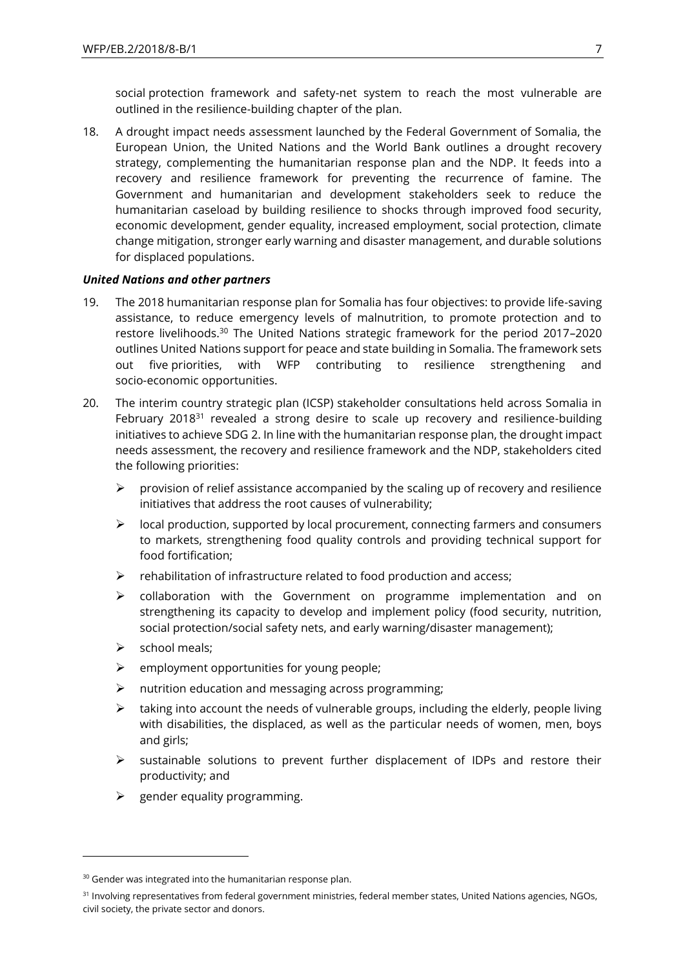social protection framework and safety-net system to reach the most vulnerable are outlined in the resilience-building chapter of the plan.

18. A drought impact needs assessment launched by the Federal Government of Somalia, the European Union, the United Nations and the World Bank outlines a drought recovery strategy, complementing the humanitarian response plan and the NDP. It feeds into a recovery and resilience framework for preventing the recurrence of famine. The Government and humanitarian and development stakeholders seek to reduce the humanitarian caseload by building resilience to shocks through improved food security, economic development, gender equality, increased employment, social protection, climate change mitigation, stronger early warning and disaster management, and durable solutions for displaced populations.

### *United Nations and other partners*

- 19. The 2018 humanitarian response plan for Somalia has four objectives: to provide life-saving assistance, to reduce emergency levels of malnutrition, to promote protection and to restore livelihoods. <sup>30</sup> The United Nations strategic framework for the period 2017–2020 outlines United Nations support for peace and state building in Somalia. The framework sets out five priorities, with WFP contributing to resilience strengthening and socio-economic opportunities.
- 20. The interim country strategic plan (ICSP) stakeholder consultations held across Somalia in February 2018 $31$  revealed a strong desire to scale up recovery and resilience-building initiatives to achieve SDG 2. In line with the humanitarian response plan, the drought impact needs assessment, the recovery and resilience framework and the NDP, stakeholders cited the following priorities:
	- $\triangleright$  provision of relief assistance accompanied by the scaling up of recovery and resilience initiatives that address the root causes of vulnerability;
	- ➢ local production, supported by local procurement, connecting farmers and consumers to markets, strengthening food quality controls and providing technical support for food fortification;
	- $\triangleright$  rehabilitation of infrastructure related to food production and access;
	- $\triangleright$  collaboration with the Government on programme implementation and on strengthening its capacity to develop and implement policy (food security, nutrition, social protection/social safety nets, and early warning/disaster management);
	- ➢ school meals;

-

- $\triangleright$  employment opportunities for young people;
- ➢ nutrition education and messaging across programming;
- $\triangleright$  taking into account the needs of vulnerable groups, including the elderly, people living with disabilities, the displaced, as well as the particular needs of women, men, boys and girls;
- ➢ sustainable solutions to prevent further displacement of IDPs and restore their productivity; and
- $\triangleright$  gender equality programming.

<sup>&</sup>lt;sup>30</sup> Gender was integrated into the humanitarian response plan.

<sup>&</sup>lt;sup>31</sup> Involving representatives from federal government ministries, federal member states, United Nations agencies, NGOs, civil society, the private sector and donors.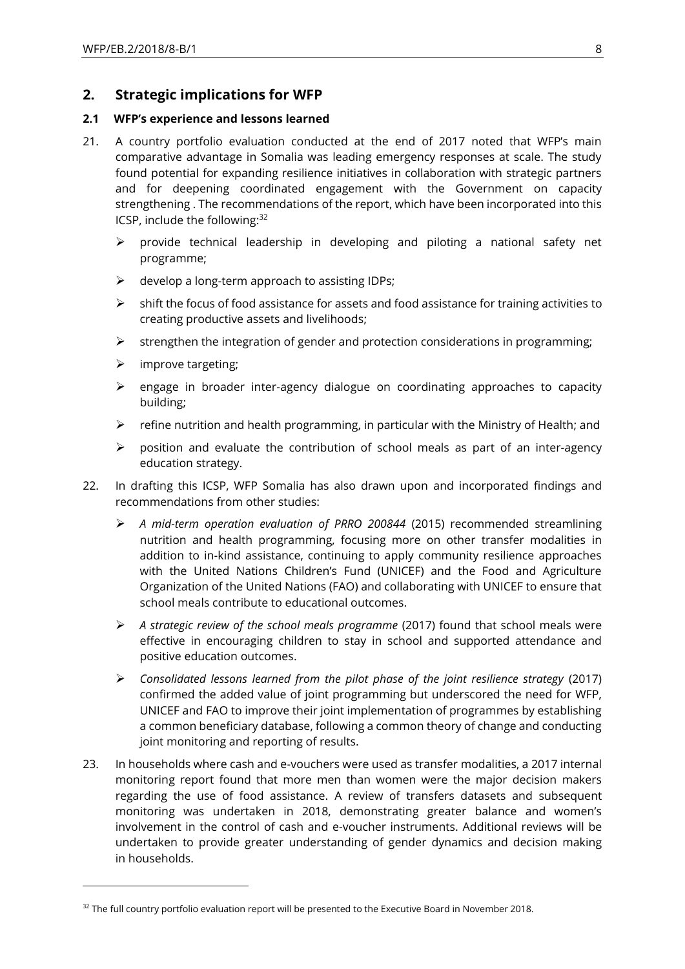## **2. Strategic implications for WFP**

## **2.1 WFP's experience and lessons learned**

- 21. A country portfolio evaluation conducted at the end of 2017 noted that WFP's main comparative advantage in Somalia was leading emergency responses at scale. The study found potential for expanding resilience initiatives in collaboration with strategic partners and for deepening coordinated engagement with the Government on capacity strengthening . The recommendations of the report, which have been incorporated into this ICSP, include the following:<sup>32</sup>
	- ➢ provide technical leadership in developing and piloting a national safety net programme;
	- $\triangleright$  develop a long-term approach to assisting IDPs;
	- $\triangleright$  shift the focus of food assistance for assets and food assistance for training activities to creating productive assets and livelihoods;
	- $\triangleright$  strengthen the integration of gender and protection considerations in programming;
	- $\triangleright$  improve targeting;

 $\overline{a}$ 

- ➢ engage in broader inter-agency dialogue on coordinating approaches to capacity building;
- $\triangleright$  refine nutrition and health programming, in particular with the Ministry of Health; and
- $\triangleright$  position and evaluate the contribution of school meals as part of an inter-agency education strategy.
- 22. In drafting this ICSP, WFP Somalia has also drawn upon and incorporated findings and recommendations from other studies:
	- ➢ *A mid-term operation evaluation of PRRO 200844* (2015) recommended streamlining nutrition and health programming, focusing more on other transfer modalities in addition to in-kind assistance, continuing to apply community resilience approaches with the United Nations Children's Fund (UNICEF) and the Food and Agriculture Organization of the United Nations (FAO) and collaborating with UNICEF to ensure that school meals contribute to educational outcomes.
	- ➢ *A strategic review of the school meals programme* (2017) found that school meals were effective in encouraging children to stay in school and supported attendance and positive education outcomes.
	- ➢ *Consolidated lessons learned from the pilot phase of the joint resilience strategy* (2017) confirmed the added value of joint programming but underscored the need for WFP, UNICEF and FAO to improve their joint implementation of programmes by establishing a common beneficiary database, following a common theory of change and conducting joint monitoring and reporting of results.
- 23. In households where cash and e-vouchers were used as transfer modalities, a 2017 internal monitoring report found that more men than women were the major decision makers regarding the use of food assistance. A review of transfers datasets and subsequent monitoring was undertaken in 2018, demonstrating greater balance and women's involvement in the control of cash and e-voucher instruments. Additional reviews will be undertaken to provide greater understanding of gender dynamics and decision making in households.

<sup>&</sup>lt;sup>32</sup> The full country portfolio evaluation report will be presented to the Executive Board in November 2018.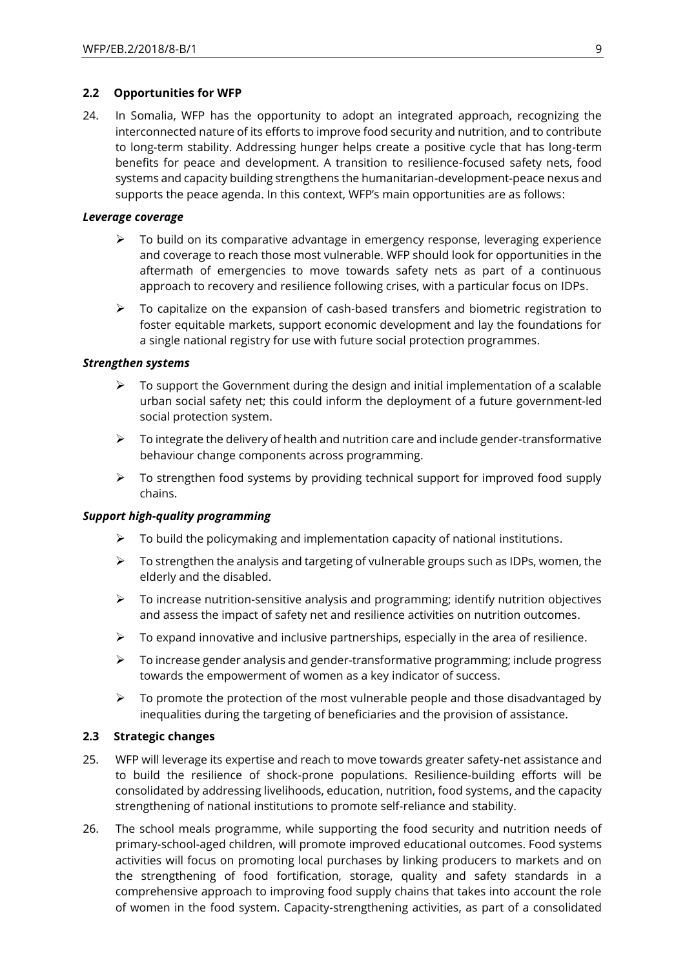## **2.2 Opportunities for WFP**

24. In Somalia, WFP has the opportunity to adopt an integrated approach, recognizing the interconnected nature of its efforts to improve food security and nutrition, and to contribute to long-term stability. Addressing hunger helps create a positive cycle that has long-term benefits for peace and development. A transition to resilience-focused safety nets, food systems and capacity building strengthens the humanitarian-development-peace nexus and supports the peace agenda. In this context, WFP's main opportunities are as follows:

## *Leverage coverage*

- ➢ To build on its comparative advantage in emergency response, leveraging experience and coverage to reach those most vulnerable. WFP should look for opportunities in the aftermath of emergencies to move towards safety nets as part of a continuous approach to recovery and resilience following crises, with a particular focus on IDPs.
- $\triangleright$  To capitalize on the expansion of cash-based transfers and biometric registration to foster equitable markets, support economic development and lay the foundations for a single national registry for use with future social protection programmes.

## *Strengthen systems*

- $\triangleright$  To support the Government during the design and initial implementation of a scalable urban social safety net; this could inform the deployment of a future government-led social protection system.
- $\triangleright$  To integrate the delivery of health and nutrition care and include gender-transformative behaviour change components across programming.
- $\triangleright$  To strengthen food systems by providing technical support for improved food supply chains.

## *Support high-quality programming*

- $\triangleright$  To build the policymaking and implementation capacity of national institutions.
- $\triangleright$  To strengthen the analysis and targeting of vulnerable groups such as IDPs, women, the elderly and the disabled.
- $\triangleright$  To increase nutrition-sensitive analysis and programming; identify nutrition objectives and assess the impact of safety net and resilience activities on nutrition outcomes.
- $\triangleright$  To expand innovative and inclusive partnerships, especially in the area of resilience.
- ➢ To increase gender analysis and gender-transformative programming; include progress towards the empowerment of women as a key indicator of success.
- $\triangleright$  To promote the protection of the most vulnerable people and those disadvantaged by inequalities during the targeting of beneficiaries and the provision of assistance.

## **2.3 Strategic changes**

- 25. WFP will leverage its expertise and reach to move towards greater safety-net assistance and to build the resilience of shock-prone populations. Resilience-building efforts will be consolidated by addressing livelihoods, education, nutrition, food systems, and the capacity strengthening of national institutions to promote self-reliance and stability.
- 26. The school meals programme, while supporting the food security and nutrition needs of primary-school-aged children, will promote improved educational outcomes. Food systems activities will focus on promoting local purchases by linking producers to markets and on the strengthening of food fortification, storage, quality and safety standards in a comprehensive approach to improving food supply chains that takes into account the role of women in the food system. Capacity-strengthening activities, as part of a consolidated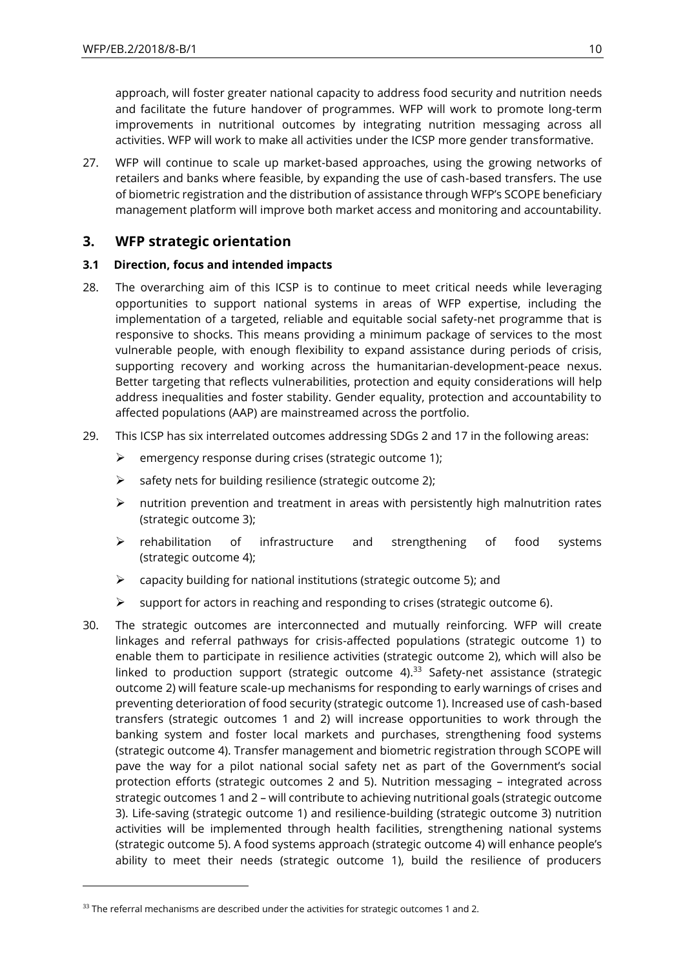approach, will foster greater national capacity to address food security and nutrition needs and facilitate the future handover of programmes. WFP will work to promote long-term improvements in nutritional outcomes by integrating nutrition messaging across all activities. WFP will work to make all activities under the ICSP more gender transformative.

27. WFP will continue to scale up market-based approaches, using the growing networks of retailers and banks where feasible, by expanding the use of cash-based transfers. The use of biometric registration and the distribution of assistance through WFP's SCOPE beneficiary management platform will improve both market access and monitoring and accountability.

## **3. WFP strategic orientation**

## **3.1 Direction, focus and intended impacts**

- 28. The overarching aim of this ICSP is to continue to meet critical needs while leveraging opportunities to support national systems in areas of WFP expertise, including the implementation of a targeted, reliable and equitable social safety-net programme that is responsive to shocks. This means providing a minimum package of services to the most vulnerable people, with enough flexibility to expand assistance during periods of crisis, supporting recovery and working across the humanitarian-development-peace nexus. Better targeting that reflects vulnerabilities, protection and equity considerations will help address inequalities and foster stability. Gender equality, protection and accountability to affected populations (AAP) are mainstreamed across the portfolio.
- 29. This ICSP has six interrelated outcomes addressing SDGs 2 and 17 in the following areas:
	- ➢ emergency response during crises (strategic outcome 1);
	- $\triangleright$  safety nets for building resilience (strategic outcome 2);
	- $\triangleright$  nutrition prevention and treatment in areas with persistently high malnutrition rates (strategic outcome 3);
	- ➢ rehabilitation of infrastructure and strengthening of food systems (strategic outcome 4);
	- ➢ capacity building for national institutions (strategic outcome 5); and
	- ➢ support for actors in reaching and responding to crises (strategic outcome 6).
- 30. The strategic outcomes are interconnected and mutually reinforcing. WFP will create linkages and referral pathways for crisis-affected populations (strategic outcome 1) to enable them to participate in resilience activities (strategic outcome 2), which will also be linked to production support (strategic outcome 4). $33$  Safety-net assistance (strategic outcome 2) will feature scale-up mechanisms for responding to early warnings of crises and preventing deterioration of food security (strategic outcome 1). Increased use of cash-based transfers (strategic outcomes 1 and 2) will increase opportunities to work through the banking system and foster local markets and purchases, strengthening food systems (strategic outcome 4). Transfer management and biometric registration through SCOPE will pave the way for a pilot national social safety net as part of the Government's social protection efforts (strategic outcomes 2 and 5). Nutrition messaging – integrated across strategic outcomes 1 and 2 – will contribute to achieving nutritional goals (strategic outcome 3). Life-saving (strategic outcome 1) and resilience-building (strategic outcome 3) nutrition activities will be implemented through health facilities, strengthening national systems (strategic outcome 5). A food systems approach (strategic outcome 4) will enhance people's ability to meet their needs (strategic outcome 1), build the resilience of producers

 $\overline{a}$ 

 $33$  The referral mechanisms are described under the activities for strategic outcomes 1 and 2.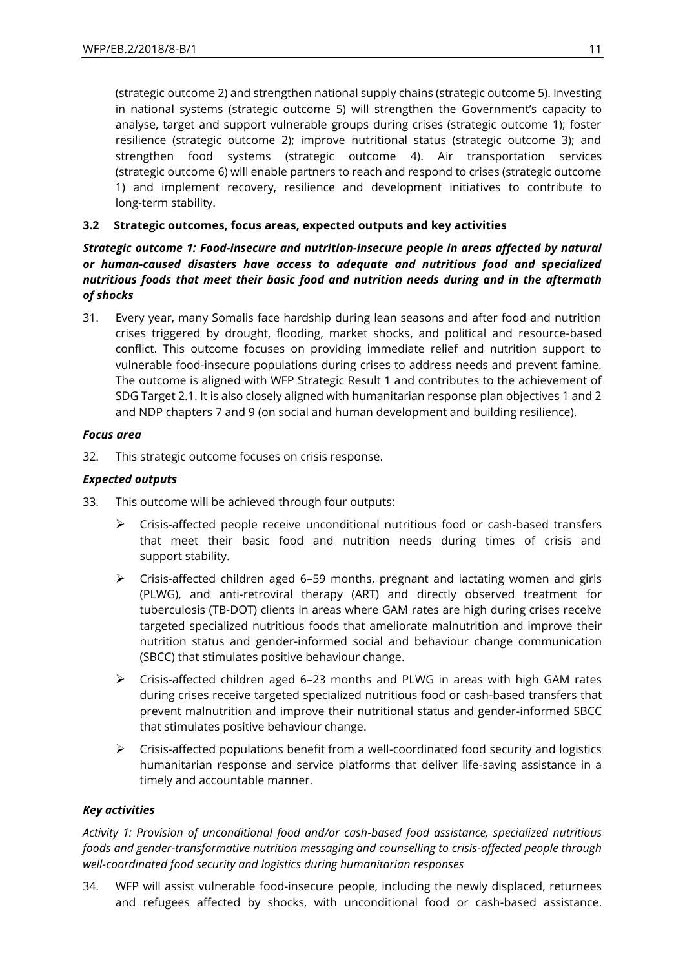(strategic outcome 2) and strengthen national supply chains (strategic outcome 5). Investing in national systems (strategic outcome 5) will strengthen the Government's capacity to analyse, target and support vulnerable groups during crises (strategic outcome 1); foster resilience (strategic outcome 2); improve nutritional status (strategic outcome 3); and strengthen food systems (strategic outcome 4). Air transportation services (strategic outcome 6) will enable partners to reach and respond to crises (strategic outcome 1) and implement recovery, resilience and development initiatives to contribute to long-term stability.

## **3.2 Strategic outcomes, focus areas, expected outputs and key activities**

*Strategic outcome 1: Food-insecure and nutrition-insecure people in areas affected by natural or human-caused disasters have access to adequate and nutritious food and specialized nutritious foods that meet their basic food and nutrition needs during and in the aftermath of shocks*

31. Every year, many Somalis face hardship during lean seasons and after food and nutrition crises triggered by drought, flooding, market shocks, and political and resource-based conflict. This outcome focuses on providing immediate relief and nutrition support to vulnerable food-insecure populations during crises to address needs and prevent famine. The outcome is aligned with WFP Strategic Result 1 and contributes to the achievement of SDG Target 2.1. It is also closely aligned with humanitarian response plan objectives 1 and 2 and NDP chapters 7 and 9 (on social and human development and building resilience).

## *Focus area*

32. This strategic outcome focuses on crisis response.

## *Expected outputs*

- 33. This outcome will be achieved through four outputs:
	- ➢ Crisis-affected people receive unconditional nutritious food or cash-based transfers that meet their basic food and nutrition needs during times of crisis and support stability.
	- $\triangleright$  Crisis-affected children aged 6–59 months, pregnant and lactating women and girls (PLWG), and anti-retroviral therapy (ART) and directly observed treatment for tuberculosis (TB-DOT) clients in areas where GAM rates are high during crises receive targeted specialized nutritious foods that ameliorate malnutrition and improve their nutrition status and gender-informed social and behaviour change communication (SBCC) that stimulates positive behaviour change.
	- ➢ Crisis-affected children aged 6–23 months and PLWG in areas with high GAM rates during crises receive targeted specialized nutritious food or cash-based transfers that prevent malnutrition and improve their nutritional status and gender-informed SBCC that stimulates positive behaviour change.
	- $\triangleright$  Crisis-affected populations benefit from a well-coordinated food security and logistics humanitarian response and service platforms that deliver life-saving assistance in a timely and accountable manner.

## *Key activities*

*Activity 1: Provision of unconditional food and/or cash-based food assistance, specialized nutritious foods and gender-transformative nutrition messaging and counselling to crisis-affected people through well-coordinated food security and logistics during humanitarian responses*

34. WFP will assist vulnerable food-insecure people, including the newly displaced, returnees and refugees affected by shocks, with unconditional food or cash-based assistance.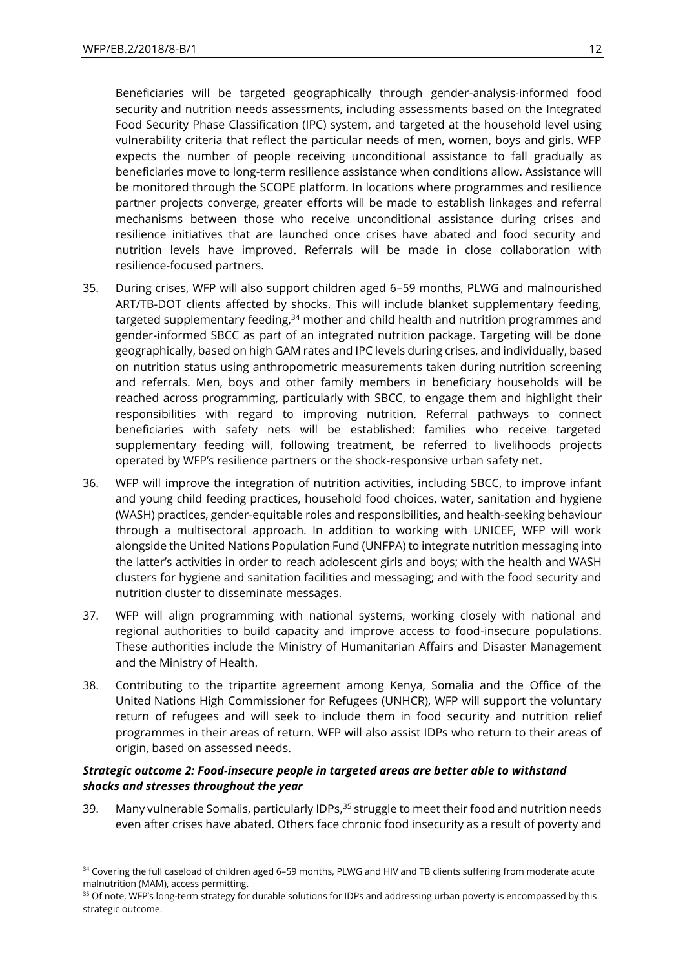-

Beneficiaries will be targeted geographically through gender-analysis-informed food security and nutrition needs assessments, including assessments based on the Integrated Food Security Phase Classification (IPC) system, and targeted at the household level using vulnerability criteria that reflect the particular needs of men, women, boys and girls. WFP expects the number of people receiving unconditional assistance to fall gradually as beneficiaries move to long-term resilience assistance when conditions allow. Assistance will be monitored through the SCOPE platform. In locations where programmes and resilience partner projects converge, greater efforts will be made to establish linkages and referral mechanisms between those who receive unconditional assistance during crises and resilience initiatives that are launched once crises have abated and food security and nutrition levels have improved. Referrals will be made in close collaboration with resilience-focused partners.

- 35. During crises, WFP will also support children aged 6–59 months, PLWG and malnourished ART/TB-DOT clients affected by shocks. This will include blanket supplementary feeding, targeted supplementary feeding,<sup>34</sup> mother and child health and nutrition programmes and gender-informed SBCC as part of an integrated nutrition package. Targeting will be done geographically, based on high GAM rates and IPC levels during crises, and individually, based on nutrition status using anthropometric measurements taken during nutrition screening and referrals. Men, boys and other family members in beneficiary households will be reached across programming, particularly with SBCC, to engage them and highlight their responsibilities with regard to improving nutrition. Referral pathways to connect beneficiaries with safety nets will be established: families who receive targeted supplementary feeding will, following treatment, be referred to livelihoods projects operated by WFP's resilience partners or the shock-responsive urban safety net.
- 36. WFP will improve the integration of nutrition activities, including SBCC, to improve infant and young child feeding practices, household food choices, water, sanitation and hygiene (WASH) practices, gender-equitable roles and responsibilities, and health-seeking behaviour through a multisectoral approach. In addition to working with UNICEF, WFP will work alongside the United Nations Population Fund (UNFPA) to integrate nutrition messaging into the latter's activities in order to reach adolescent girls and boys; with the health and WASH clusters for hygiene and sanitation facilities and messaging; and with the food security and nutrition cluster to disseminate messages.
- 37. WFP will align programming with national systems, working closely with national and regional authorities to build capacity and improve access to food-insecure populations. These authorities include the Ministry of Humanitarian Affairs and Disaster Management and the Ministry of Health.
- 38. Contributing to the tripartite agreement among Kenya, Somalia and the Office of the United Nations High Commissioner for Refugees (UNHCR), WFP will support the voluntary return of refugees and will seek to include them in food security and nutrition relief programmes in their areas of return. WFP will also assist IDPs who return to their areas of origin, based on assessed needs.

## *Strategic outcome 2: Food-insecure people in targeted areas are better able to withstand shocks and stresses throughout the year*

39. Many vulnerable Somalis, particularly IDPs,<sup>35</sup> struggle to meet their food and nutrition needs even after crises have abated. Others face chronic food insecurity as a result of poverty and

<sup>34</sup> Covering the full caseload of children aged 6-59 months, PLWG and HIV and TB clients suffering from moderate acute malnutrition (MAM), access permitting.

<sup>&</sup>lt;sup>35</sup> Of note, WFP's long-term strategy for durable solutions for IDPs and addressing urban poverty is encompassed by this strategic outcome.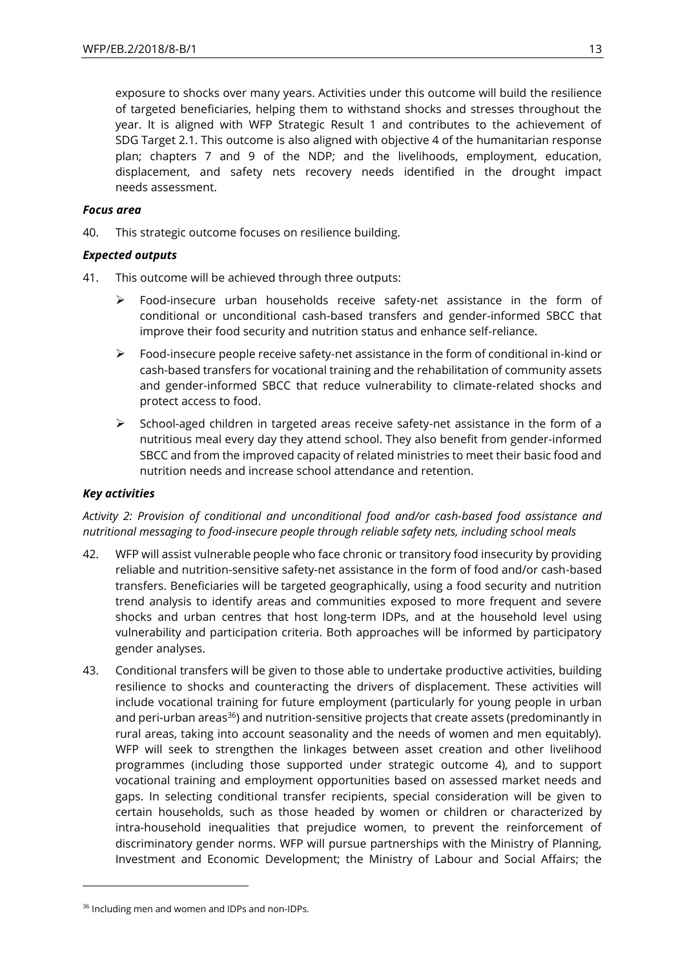exposure to shocks over many years. Activities under this outcome will build the resilience of targeted beneficiaries, helping them to withstand shocks and stresses throughout the year. It is aligned with WFP Strategic Result 1 and contributes to the achievement of SDG Target 2.1. This outcome is also aligned with objective 4 of the humanitarian response plan; chapters 7 and 9 of the NDP; and the livelihoods, employment, education, displacement, and safety nets recovery needs identified in the drought impact needs assessment.

## *Focus area*

40. This strategic outcome focuses on resilience building.

## *Expected outputs*

- 41. This outcome will be achieved through three outputs:
	- Food-insecure urban households receive safety-net assistance in the form of conditional or unconditional cash-based transfers and gender-informed SBCC that improve their food security and nutrition status and enhance self-reliance.
	- ➢ Food-insecure people receive safety-net assistance in the form of conditional in-kind or cash-based transfers for vocational training and the rehabilitation of community assets and gender-informed SBCC that reduce vulnerability to climate-related shocks and protect access to food.
	- $\triangleright$  School-aged children in targeted areas receive safety-net assistance in the form of a nutritious meal every day they attend school. They also benefit from gender-informed SBCC and from the improved capacity of related ministries to meet their basic food and nutrition needs and increase school attendance and retention.

## *Key activities*

 $\overline{a}$ 

*Activity 2: Provision of conditional and unconditional food and/or cash-based food assistance and nutritional messaging to food-insecure people through reliable safety nets, including school meals*

- 42. WFP will assist vulnerable people who face chronic or transitory food insecurity by providing reliable and nutrition-sensitive safety-net assistance in the form of food and/or cash-based transfers. Beneficiaries will be targeted geographically, using a food security and nutrition trend analysis to identify areas and communities exposed to more frequent and severe shocks and urban centres that host long-term IDPs, and at the household level using vulnerability and participation criteria. Both approaches will be informed by participatory gender analyses.
- 43. Conditional transfers will be given to those able to undertake productive activities, building resilience to shocks and counteracting the drivers of displacement. These activities will include vocational training for future employment (particularly for young people in urban and peri-urban areas $36$ ) and nutrition-sensitive projects that create assets (predominantly in rural areas, taking into account seasonality and the needs of women and men equitably). WFP will seek to strengthen the linkages between asset creation and other livelihood programmes (including those supported under strategic outcome 4), and to support vocational training and employment opportunities based on assessed market needs and gaps. In selecting conditional transfer recipients, special consideration will be given to certain households, such as those headed by women or children or characterized by intra-household inequalities that prejudice women, to prevent the reinforcement of discriminatory gender norms. WFP will pursue partnerships with the Ministry of Planning, Investment and Economic Development; the Ministry of Labour and Social Affairs; the

<sup>&</sup>lt;sup>36</sup> Including men and women and IDPs and non-IDPs.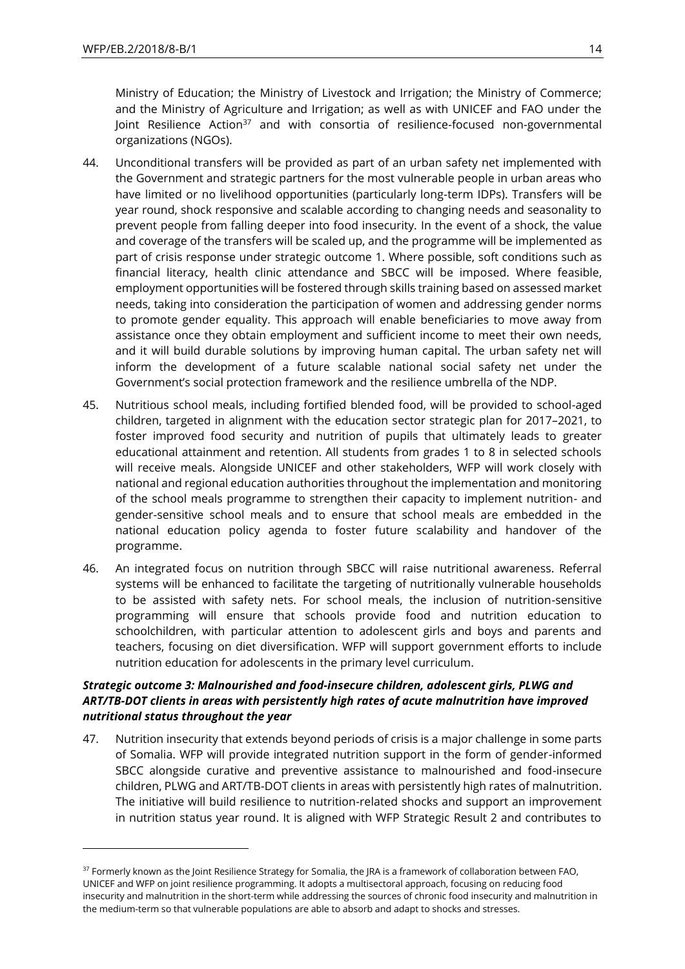1

Ministry of Education; the Ministry of Livestock and Irrigation; the Ministry of Commerce; and the Ministry of Agriculture and Irrigation; as well as with UNICEF and FAO under the Joint Resilience Action<sup>37</sup> and with consortia of resilience-focused non-governmental organizations (NGOs).

- 44. Unconditional transfers will be provided as part of an urban safety net implemented with the Government and strategic partners for the most vulnerable people in urban areas who have limited or no livelihood opportunities (particularly long-term IDPs). Transfers will be year round, shock responsive and scalable according to changing needs and seasonality to prevent people from falling deeper into food insecurity. In the event of a shock, the value and coverage of the transfers will be scaled up, and the programme will be implemented as part of crisis response under strategic outcome 1. Where possible, soft conditions such as financial literacy, health clinic attendance and SBCC will be imposed. Where feasible, employment opportunities will be fostered through skills training based on assessed market needs, taking into consideration the participation of women and addressing gender norms to promote gender equality. This approach will enable beneficiaries to move away from assistance once they obtain employment and sufficient income to meet their own needs, and it will build durable solutions by improving human capital. The urban safety net will inform the development of a future scalable national social safety net under the Government's social protection framework and the resilience umbrella of the NDP.
- 45. Nutritious school meals, including fortified blended food, will be provided to school-aged children, targeted in alignment with the education sector strategic plan for 2017–2021, to foster improved food security and nutrition of pupils that ultimately leads to greater educational attainment and retention. All students from grades 1 to 8 in selected schools will receive meals. Alongside UNICEF and other stakeholders, WFP will work closely with national and regional education authorities throughout the implementation and monitoring of the school meals programme to strengthen their capacity to implement nutrition- and gender-sensitive school meals and to ensure that school meals are embedded in the national education policy agenda to foster future scalability and handover of the programme.
- 46. An integrated focus on nutrition through SBCC will raise nutritional awareness. Referral systems will be enhanced to facilitate the targeting of nutritionally vulnerable households to be assisted with safety nets. For school meals, the inclusion of nutrition-sensitive programming will ensure that schools provide food and nutrition education to schoolchildren, with particular attention to adolescent girls and boys and parents and teachers, focusing on diet diversification. WFP will support government efforts to include nutrition education for adolescents in the primary level curriculum.

## *Strategic outcome 3: Malnourished and food-insecure children, adolescent girls, PLWG and ART/TB-DOT clients in areas with persistently high rates of acute malnutrition have improved nutritional status throughout the year*

47. Nutrition insecurity that extends beyond periods of crisis is a major challenge in some parts of Somalia. WFP will provide integrated nutrition support in the form of gender-informed SBCC alongside curative and preventive assistance to malnourished and food-insecure children, PLWG and ART/TB-DOT clients in areas with persistently high rates of malnutrition. The initiative will build resilience to nutrition-related shocks and support an improvement in nutrition status year round. It is aligned with WFP Strategic Result 2 and contributes to

<sup>&</sup>lt;sup>37</sup> Formerly known as the Joint Resilience Strategy for Somalia, the JRA is a framework of collaboration between FAO, UNICEF and WFP on joint resilience programming. It adopts a multisectoral approach, focusing on reducing food insecurity and malnutrition in the short-term while addressing the sources of chronic food insecurity and malnutrition in the medium-term so that vulnerable populations are able to absorb and adapt to shocks and stresses.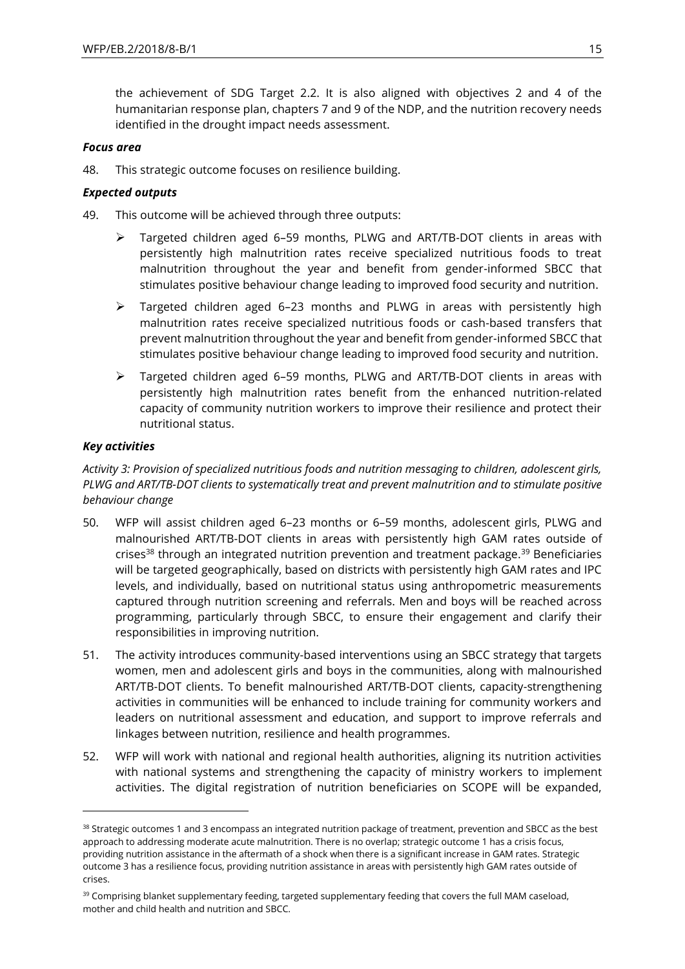the achievement of SDG Target 2.2. It is also aligned with objectives 2 and 4 of the humanitarian response plan, chapters 7 and 9 of the NDP, and the nutrition recovery needs identified in the drought impact needs assessment.

## *Focus area*

48. This strategic outcome focuses on resilience building.

## *Expected outputs*

- 49. This outcome will be achieved through three outputs:
	- ➢ Targeted children aged 6–59 months, PLWG and ART/TB-DOT clients in areas with persistently high malnutrition rates receive specialized nutritious foods to treat malnutrition throughout the year and benefit from gender-informed SBCC that stimulates positive behaviour change leading to improved food security and nutrition.
	- ➢ Targeted children aged 6–23 months and PLWG in areas with persistently high malnutrition rates receive specialized nutritious foods or cash-based transfers that prevent malnutrition throughout the year and benefit from gender-informed SBCC that stimulates positive behaviour change leading to improved food security and nutrition.
	- ➢ Targeted children aged 6–59 months, PLWG and ART/TB-DOT clients in areas with persistently high malnutrition rates benefit from the enhanced nutrition-related capacity of community nutrition workers to improve their resilience and protect their nutritional status.

## *Key activities*

-

*Activity 3: Provision of specialized nutritious foods and nutrition messaging to children, adolescent girls, PLWG and ART/TB-DOT clients to systematically treat and prevent malnutrition and to stimulate positive behaviour change*

- 50. WFP will assist children aged 6–23 months or 6–59 months, adolescent girls, PLWG and malnourished ART/TB-DOT clients in areas with persistently high GAM rates outside of crises<sup>38</sup> through an integrated nutrition prevention and treatment package.<sup>39</sup> Beneficiaries will be targeted geographically, based on districts with persistently high GAM rates and IPC levels, and individually, based on nutritional status using anthropometric measurements captured through nutrition screening and referrals. Men and boys will be reached across programming, particularly through SBCC, to ensure their engagement and clarify their responsibilities in improving nutrition.
- 51. The activity introduces community-based interventions using an SBCC strategy that targets women, men and adolescent girls and boys in the communities, along with malnourished ART/TB-DOT clients. To benefit malnourished ART/TB-DOT clients, capacity-strengthening activities in communities will be enhanced to include training for community workers and leaders on nutritional assessment and education, and support to improve referrals and linkages between nutrition, resilience and health programmes.
- 52. WFP will work with national and regional health authorities, aligning its nutrition activities with national systems and strengthening the capacity of ministry workers to implement activities. The digital registration of nutrition beneficiaries on SCOPE will be expanded,

<sup>&</sup>lt;sup>38</sup> Strategic outcomes 1 and 3 encompass an integrated nutrition package of treatment, prevention and SBCC as the best approach to addressing moderate acute malnutrition. There is no overlap; strategic outcome 1 has a crisis focus, providing nutrition assistance in the aftermath of a shock when there is a significant increase in GAM rates. Strategic outcome 3 has a resilience focus, providing nutrition assistance in areas with persistently high GAM rates outside of crises.

<sup>&</sup>lt;sup>39</sup> Comprising blanket supplementary feeding, targeted supplementary feeding that covers the full MAM caseload, mother and child health and nutrition and SBCC.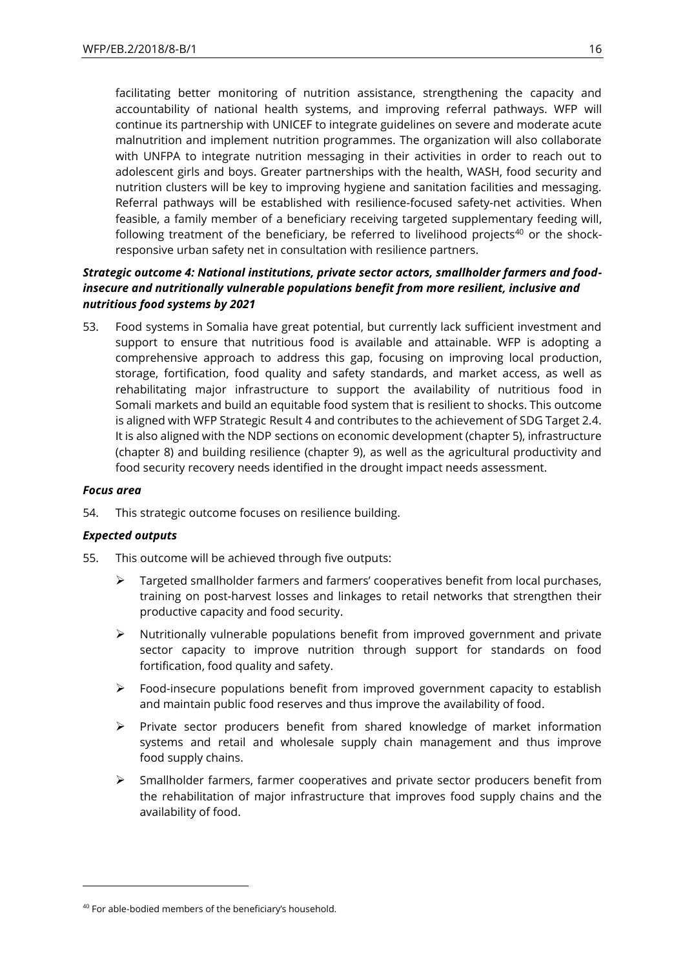facilitating better monitoring of nutrition assistance, strengthening the capacity and accountability of national health systems, and improving referral pathways. WFP will continue its partnership with UNICEF to integrate guidelines on severe and moderate acute malnutrition and implement nutrition programmes. The organization will also collaborate with UNFPA to integrate nutrition messaging in their activities in order to reach out to adolescent girls and boys. Greater partnerships with the health, WASH, food security and nutrition clusters will be key to improving hygiene and sanitation facilities and messaging. Referral pathways will be established with resilience-focused safety-net activities. When feasible, a family member of a beneficiary receiving targeted supplementary feeding will, following treatment of the beneficiary, be referred to livelihood projects $40$  or the shockresponsive urban safety net in consultation with resilience partners.

## *Strategic outcome 4: National institutions, private sector actors, smallholder farmers and foodinsecure and nutritionally vulnerable populations benefit from more resilient, inclusive and nutritious food systems by 2021*

53. Food systems in Somalia have great potential, but currently lack sufficient investment and support to ensure that nutritious food is available and attainable. WFP is adopting a comprehensive approach to address this gap, focusing on improving local production, storage, fortification, food quality and safety standards, and market access, as well as rehabilitating major infrastructure to support the availability of nutritious food in Somali markets and build an equitable food system that is resilient to shocks. This outcome is aligned with WFP Strategic Result 4 and contributes to the achievement of SDG Target 2.4. It is also aligned with the NDP sections on economic development (chapter 5), infrastructure (chapter 8) and building resilience (chapter 9), as well as the agricultural productivity and food security recovery needs identified in the drought impact needs assessment.

## *Focus area*

 $\overline{a}$ 

54. This strategic outcome focuses on resilience building.

## *Expected outputs*

- 55. This outcome will be achieved through five outputs:
	- $\triangleright$  Targeted smallholder farmers and farmers' cooperatives benefit from local purchases, training on post-harvest losses and linkages to retail networks that strengthen their productive capacity and food security.
	- ➢ Nutritionally vulnerable populations benefit from improved government and private sector capacity to improve nutrition through support for standards on food fortification, food quality and safety.
	- ➢ Food-insecure populations benefit from improved government capacity to establish and maintain public food reserves and thus improve the availability of food.
	- ➢ Private sector producers benefit from shared knowledge of market information systems and retail and wholesale supply chain management and thus improve food supply chains.
	- $\triangleright$  Smallholder farmers, farmer cooperatives and private sector producers benefit from the rehabilitation of major infrastructure that improves food supply chains and the availability of food.

<sup>40</sup> For able-bodied members of the beneficiary's household.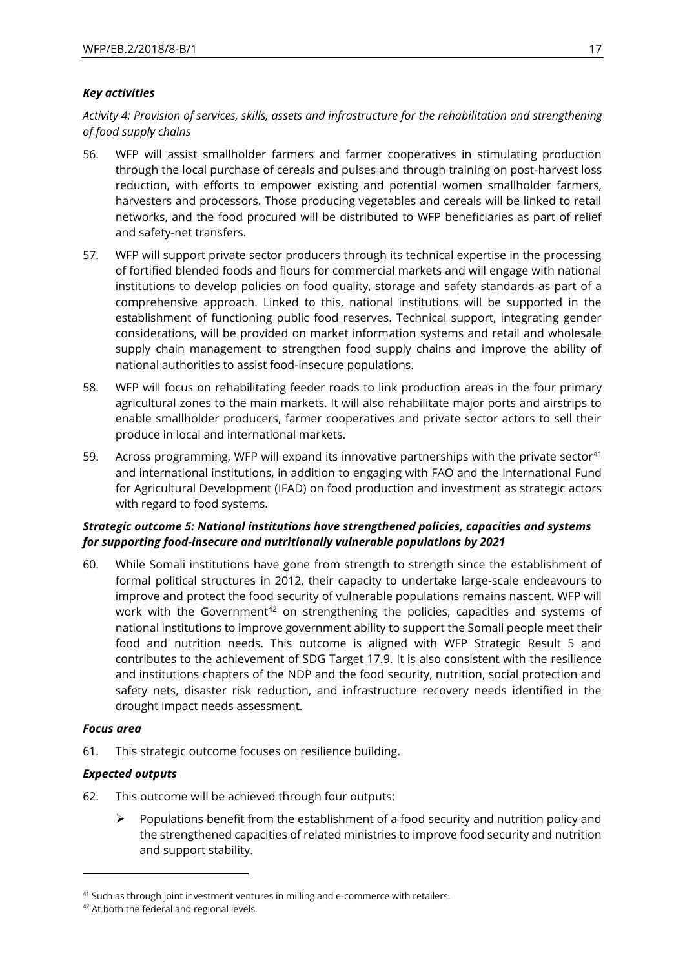## *Key activities*

*Activity 4: Provision of services, skills, assets and infrastructure for the rehabilitation and strengthening of food supply chains*

- 56. WFP will assist smallholder farmers and farmer cooperatives in stimulating production through the local purchase of cereals and pulses and through training on post-harvest loss reduction, with efforts to empower existing and potential women smallholder farmers, harvesters and processors. Those producing vegetables and cereals will be linked to retail networks, and the food procured will be distributed to WFP beneficiaries as part of relief and safety-net transfers.
- 57. WFP will support private sector producers through its technical expertise in the processing of fortified blended foods and flours for commercial markets and will engage with national institutions to develop policies on food quality, storage and safety standards as part of a comprehensive approach. Linked to this, national institutions will be supported in the establishment of functioning public food reserves. Technical support, integrating gender considerations, will be provided on market information systems and retail and wholesale supply chain management to strengthen food supply chains and improve the ability of national authorities to assist food-insecure populations.
- 58. WFP will focus on rehabilitating feeder roads to link production areas in the four primary agricultural zones to the main markets. It will also rehabilitate major ports and airstrips to enable smallholder producers, farmer cooperatives and private sector actors to sell their produce in local and international markets.
- 59. Across programming, WFP will expand its innovative partnerships with the private sector<sup>41</sup> and international institutions, in addition to engaging with FAO and the International Fund for Agricultural Development (IFAD) on food production and investment as strategic actors with regard to food systems.

## *Strategic outcome 5: National institutions have strengthened policies, capacities and systems for supporting food-insecure and nutritionally vulnerable populations by 2021*

60. While Somali institutions have gone from strength to strength since the establishment of formal political structures in 2012, their capacity to undertake large-scale endeavours to improve and protect the food security of vulnerable populations remains nascent. WFP will work with the Government<sup>42</sup> on strengthening the policies, capacities and systems of national institutions to improve government ability to support the Somali people meet their food and nutrition needs. This outcome is aligned with WFP Strategic Result 5 and contributes to the achievement of SDG Target 17.9. It is also consistent with the resilience and institutions chapters of the NDP and the food security, nutrition, social protection and safety nets, disaster risk reduction, and infrastructure recovery needs identified in the drought impact needs assessment.

## *Focus area*

1

61. This strategic outcome focuses on resilience building.

## *Expected outputs*

- 62. This outcome will be achieved through four outputs:
	- ➢ Populations benefit from the establishment of a food security and nutrition policy and the strengthened capacities of related ministries to improve food security and nutrition and support stability.

<sup>&</sup>lt;sup>41</sup> Such as through joint investment ventures in milling and e-commerce with retailers.

<sup>42</sup> At both the federal and regional levels.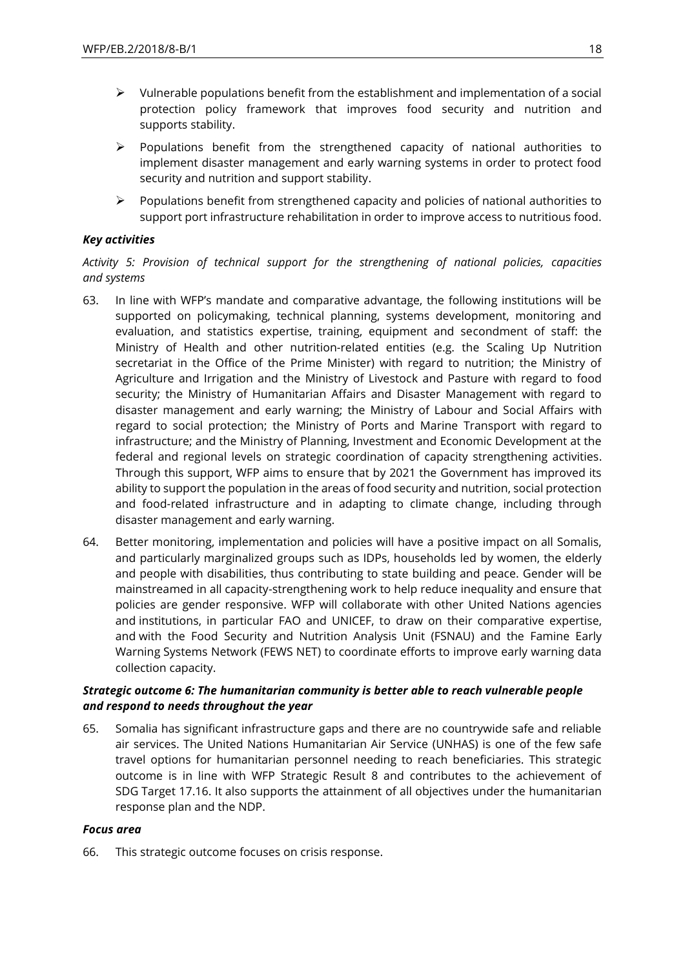- ➢ Vulnerable populations benefit from the establishment and implementation of a social protection policy framework that improves food security and nutrition and supports stability.
- $\triangleright$  Populations benefit from the strengthened capacity of national authorities to implement disaster management and early warning systems in order to protect food security and nutrition and support stability.
- $\triangleright$  Populations benefit from strengthened capacity and policies of national authorities to support port infrastructure rehabilitation in order to improve access to nutritious food.

## *Key activities*

*Activity 5: Provision of technical support for the strengthening of national policies, capacities and systems*

- 63. In line with WFP's mandate and comparative advantage, the following institutions will be supported on policymaking, technical planning, systems development, monitoring and evaluation, and statistics expertise, training, equipment and secondment of staff: the Ministry of Health and other nutrition-related entities (e.g. the Scaling Up Nutrition secretariat in the Office of the Prime Minister) with regard to nutrition; the Ministry of Agriculture and Irrigation and the Ministry of Livestock and Pasture with regard to food security; the Ministry of Humanitarian Affairs and Disaster Management with regard to disaster management and early warning; the Ministry of Labour and Social Affairs with regard to social protection; the Ministry of Ports and Marine Transport with regard to infrastructure; and the Ministry of Planning, Investment and Economic Development at the federal and regional levels on strategic coordination of capacity strengthening activities. Through this support, WFP aims to ensure that by 2021 the Government has improved its ability to support the population in the areas of food security and nutrition, social protection and food-related infrastructure and in adapting to climate change, including through disaster management and early warning.
- 64. Better monitoring, implementation and policies will have a positive impact on all Somalis, and particularly marginalized groups such as IDPs, households led by women, the elderly and people with disabilities, thus contributing to state building and peace. Gender will be mainstreamed in all capacity-strengthening work to help reduce inequality and ensure that policies are gender responsive. WFP will collaborate with other United Nations agencies and institutions, in particular FAO and UNICEF, to draw on their comparative expertise, and with the Food Security and Nutrition Analysis Unit (FSNAU) and the Famine Early Warning Systems Network (FEWS NET) to coordinate efforts to improve early warning data collection capacity.

## *Strategic outcome 6: The humanitarian community is better able to reach vulnerable people and respond to needs throughout the year*

65. Somalia has significant infrastructure gaps and there are no countrywide safe and reliable air services. The United Nations Humanitarian Air Service (UNHAS) is one of the few safe travel options for humanitarian personnel needing to reach beneficiaries. This strategic outcome is in line with WFP Strategic Result 8 and contributes to the achievement of SDG Target 17.16. It also supports the attainment of all objectives under the humanitarian response plan and the NDP.

## *Focus area*

66. This strategic outcome focuses on crisis response.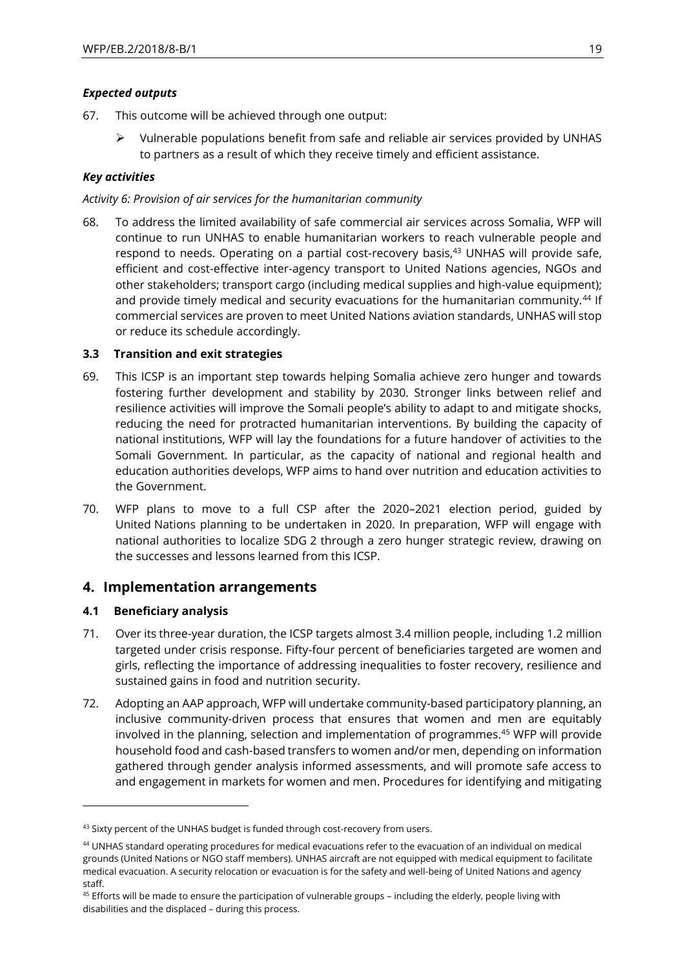## *Expected outputs*

- 67. This outcome will be achieved through one output:
	- $\triangleright$  Vulnerable populations benefit from safe and reliable air services provided by UNHAS to partners as a result of which they receive timely and efficient assistance.

## *Key activities*

## *Activity 6: Provision of air services for the humanitarian community*

68. To address the limited availability of safe commercial air services across Somalia, WFP will continue to run UNHAS to enable humanitarian workers to reach vulnerable people and respond to needs. Operating on a partial cost-recovery basis,<sup>43</sup> UNHAS will provide safe, efficient and cost-effective inter-agency transport to United Nations agencies, NGOs and other stakeholders; transport cargo (including medical supplies and high-value equipment); and provide timely medical and security evacuations for the humanitarian community.<sup>44</sup> If commercial services are proven to meet United Nations aviation standards, UNHAS will stop or reduce its schedule accordingly.

## **3.3 Transition and exit strategies**

- 69. This ICSP is an important step towards helping Somalia achieve zero hunger and towards fostering further development and stability by 2030. Stronger links between relief and resilience activities will improve the Somali people's ability to adapt to and mitigate shocks, reducing the need for protracted humanitarian interventions. By building the capacity of national institutions, WFP will lay the foundations for a future handover of activities to the Somali Government. In particular, as the capacity of national and regional health and education authorities develops, WFP aims to hand over nutrition and education activities to the Government.
- 70. WFP plans to move to a full CSP after the 2020–2021 election period, guided by United Nations planning to be undertaken in 2020. In preparation, WFP will engage with national authorities to localize SDG 2 through a zero hunger strategic review, drawing on the successes and lessons learned from this ICSP.

## **4. Implementation arrangements**

## **4.1 Beneficiary analysis**

 $\overline{a}$ 

- 71. Over its three-year duration, the ICSP targets almost 3.4 million people, including 1.2 million targeted under crisis response. Fifty-four percent of beneficiaries targeted are women and girls, reflecting the importance of addressing inequalities to foster recovery, resilience and sustained gains in food and nutrition security.
- 72. Adopting an AAP approach, WFP will undertake community-based participatory planning, an inclusive community-driven process that ensures that women and men are equitably involved in the planning, selection and implementation of programmes.<sup>45</sup> WFP will provide household food and cash-based transfers to women and/or men, depending on information gathered through gender analysis informed assessments, and will promote safe access to and engagement in markets for women and men. Procedures for identifying and mitigating

<sup>&</sup>lt;sup>43</sup> Sixty percent of the UNHAS budget is funded through cost-recovery from users.

<sup>44</sup> UNHAS standard operating procedures for medical evacuations refer to the evacuation of an individual on medical grounds (United Nations or NGO staff members). UNHAS aircraft are not equipped with medical equipment to facilitate medical evacuation. A security relocation or evacuation is for the safety and well-being of United Nations and agency staff.

<sup>&</sup>lt;sup>45</sup> Efforts will be made to ensure the participation of vulnerable groups - including the elderly, people living with disabilities and the displaced – during this process.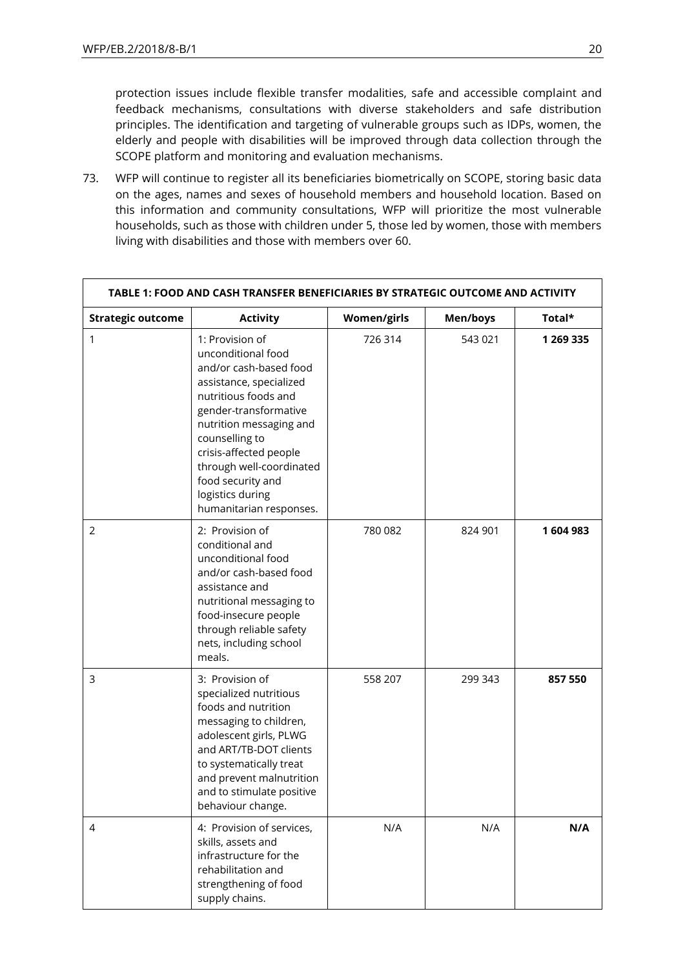protection issues include flexible transfer modalities, safe and accessible complaint and feedback mechanisms, consultations with diverse stakeholders and safe distribution principles. The identification and targeting of vulnerable groups such as IDPs, women, the elderly and people with disabilities will be improved through data collection through the SCOPE platform and monitoring and evaluation mechanisms.

73. WFP will continue to register all its beneficiaries biometrically on SCOPE, storing basic data on the ages, names and sexes of household members and household location. Based on this information and community consultations, WFP will prioritize the most vulnerable households, such as those with children under 5, those led by women, those with members living with disabilities and those with members over 60.

|                          | TABLE 1: FOOD AND CASH TRANSFER BENEFICIARIES BY STRATEGIC OUTCOME AND ACTIVITY                                                                                                                                                                                                                                    |                    |          |           |
|--------------------------|--------------------------------------------------------------------------------------------------------------------------------------------------------------------------------------------------------------------------------------------------------------------------------------------------------------------|--------------------|----------|-----------|
| <b>Strategic outcome</b> | <b>Activity</b>                                                                                                                                                                                                                                                                                                    | <b>Women/girls</b> | Men/boys | Total*    |
| 1                        | 1: Provision of<br>unconditional food<br>and/or cash-based food<br>assistance, specialized<br>nutritious foods and<br>gender-transformative<br>nutrition messaging and<br>counselling to<br>crisis-affected people<br>through well-coordinated<br>food security and<br>logistics during<br>humanitarian responses. | 726 314            | 543 021  | 1 269 335 |
| 2                        | 2: Provision of<br>conditional and<br>unconditional food<br>and/or cash-based food<br>assistance and<br>nutritional messaging to<br>food-insecure people<br>through reliable safety<br>nets, including school<br>meals.                                                                                            | 780 082            | 824 901  | 1604983   |
| 3                        | 3: Provision of<br>specialized nutritious<br>foods and nutrition<br>messaging to children,<br>adolescent girls, PLWG<br>and ART/TB-DOT clients<br>to systematically treat<br>and prevent malnutrition<br>and to stimulate positive<br>behaviour change.                                                            | 558 207            | 299 343  | 857 550   |
| 4                        | 4: Provision of services,<br>skills, assets and<br>infrastructure for the<br>rehabilitation and<br>strengthening of food<br>supply chains.                                                                                                                                                                         | N/A                | N/A      | N/A       |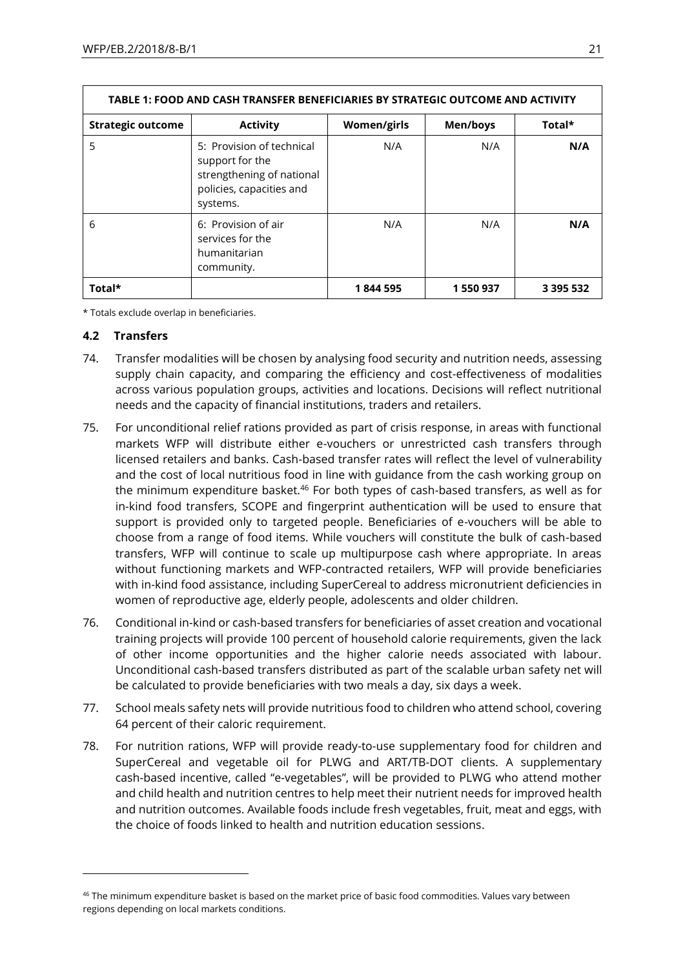| TABLE 1: FOOD AND CASH TRANSFER BENEFICIARIES BY STRATEGIC OUTCOME AND ACTIVITY |                                                                                                                   |             |          |           |  |
|---------------------------------------------------------------------------------|-------------------------------------------------------------------------------------------------------------------|-------------|----------|-----------|--|
| <b>Strategic outcome</b>                                                        | <b>Activity</b>                                                                                                   | Women/girls | Men/boys | Total*    |  |
| 5                                                                               | 5: Provision of technical<br>support for the<br>strengthening of national<br>policies, capacities and<br>systems. | N/A         | N/A      | N/A       |  |
| 6                                                                               | 6: Provision of air<br>services for the<br>humanitarian<br>community.                                             | N/A         | N/A      | N/A       |  |
| Total*                                                                          |                                                                                                                   | 1844595     | 1550937  | 3 395 532 |  |

\* Totals exclude overlap in beneficiaries.

## **4.2 Transfers**

1

- 74. Transfer modalities will be chosen by analysing food security and nutrition needs, assessing supply chain capacity, and comparing the efficiency and cost-effectiveness of modalities across various population groups, activities and locations. Decisions will reflect nutritional needs and the capacity of financial institutions, traders and retailers.
- 75. For unconditional relief rations provided as part of crisis response, in areas with functional markets WFP will distribute either e-vouchers or unrestricted cash transfers through licensed retailers and banks. Cash-based transfer rates will reflect the level of vulnerability and the cost of local nutritious food in line with guidance from the cash working group on the minimum expenditure basket.<sup>46</sup> For both types of cash-based transfers, as well as for in-kind food transfers, SCOPE and fingerprint authentication will be used to ensure that support is provided only to targeted people. Beneficiaries of e-vouchers will be able to choose from a range of food items. While vouchers will constitute the bulk of cash-based transfers, WFP will continue to scale up multipurpose cash where appropriate. In areas without functioning markets and WFP-contracted retailers, WFP will provide beneficiaries with in-kind food assistance, including SuperCereal to address micronutrient deficiencies in women of reproductive age, elderly people, adolescents and older children.
- 76. Conditional in-kind or cash-based transfers for beneficiaries of asset creation and vocational training projects will provide 100 percent of household calorie requirements, given the lack of other income opportunities and the higher calorie needs associated with labour. Unconditional cash-based transfers distributed as part of the scalable urban safety net will be calculated to provide beneficiaries with two meals a day, six days a week.
- 77. School meals safety nets will provide nutritious food to children who attend school, covering 64 percent of their caloric requirement.
- 78. For nutrition rations, WFP will provide ready-to-use supplementary food for children and SuperCereal and vegetable oil for PLWG and ART/TB-DOT clients. A supplementary cash-based incentive, called "e-vegetables", will be provided to PLWG who attend mother and child health and nutrition centres to help meet their nutrient needs for improved health and nutrition outcomes. Available foods include fresh vegetables, fruit, meat and eggs, with the choice of foods linked to health and nutrition education sessions.

<sup>&</sup>lt;sup>46</sup> The minimum expenditure basket is based on the market price of basic food commodities. Values vary between regions depending on local markets conditions.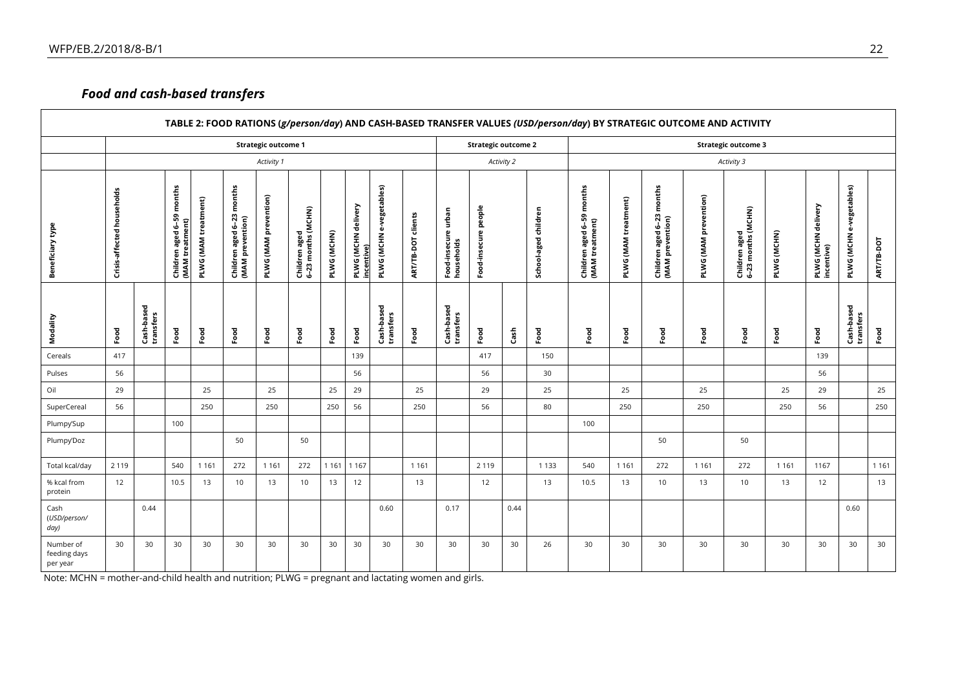## *Food and cash-based transfers*

|                                       |                            |                         |                                                 |                      |                                                    |                              |                                     |             |                                   |                                                          |                    |                                        |                      |      | TABLE 2: FOOD RATIONS (g/person/day) AND CASH-BASED TRANSFER VALUES (USD/person/day) BY STRATEGIC OUTCOME AND ACTIVITY |                                                                     |                      |                                                  |                       |                                     |             |                                   |                             |            |
|---------------------------------------|----------------------------|-------------------------|-------------------------------------------------|----------------------|----------------------------------------------------|------------------------------|-------------------------------------|-------------|-----------------------------------|----------------------------------------------------------|--------------------|----------------------------------------|----------------------|------|------------------------------------------------------------------------------------------------------------------------|---------------------------------------------------------------------|----------------------|--------------------------------------------------|-----------------------|-------------------------------------|-------------|-----------------------------------|-----------------------------|------------|
|                                       | <b>Strategic outcome 1</b> |                         |                                                 |                      |                                                    |                              |                                     |             |                                   | <b>Strategic outcome 2</b><br><b>Strategic outcome 3</b> |                    |                                        |                      |      |                                                                                                                        |                                                                     |                      |                                                  |                       |                                     |             |                                   |                             |            |
|                                       |                            |                         |                                                 |                      |                                                    | Activity 1                   |                                     |             |                                   |                                                          |                    |                                        | Activity 2           |      |                                                                                                                        |                                                                     |                      |                                                  |                       | Activity 3                          |             |                                   |                             |            |
| Beneficiary type                      | Crisis-affected households |                         | months<br>Children aged 6–59<br>(MAM treatment) | PLWG (MAM treatment) | months<br>Children aged 6-23 r<br>(MAM prevention) | <b>PLWG (MAM prevention)</b> | Children aged<br>6-23 months (MCHN) | PLWG (MCHN) | PLWG (MCHN delivery<br>incentive) | PLWG (MCHN e-vegetables)                                 | ART/TB-DOT clients | urban<br>Food-insecure u<br>households | Food-insecure people |      | School-aged children                                                                                                   | months<br>$6 - 59$<br>Children aged 6-59<br>(MAM treatment)<br>aged | PLWG (MAM treatment) | months<br>Children aged 6-23<br>(MAM prevention) | PLWG (MAM prevention) | Children aged<br>6-23 months (MCHN) | PLWG (MCHN) | PLWG (MCHN delivery<br>incentive) | e-vegetables)<br>PLWG (MCHN | ART/TB-DOT |
| Modality                              | Food                       | Cash-based<br>transfers | Food                                            | Food                 | Food                                               | Food                         | Food                                | Food        | Food                              | Cash-based<br>transfers                                  | Food               | Cash-based<br>transfers                | Food                 | Cash | Food                                                                                                                   | Food                                                                | Food                 | Food                                             | Food                  | Food                                | Food        | Food                              | Cash-based<br>transfers     | Food       |
| Cereals                               | 417                        |                         |                                                 |                      |                                                    |                              |                                     |             | 139                               |                                                          |                    |                                        | 417                  |      | 150                                                                                                                    |                                                                     |                      |                                                  |                       |                                     |             | 139                               |                             |            |
| Pulses                                | 56                         |                         |                                                 |                      |                                                    |                              |                                     |             | 56                                |                                                          |                    |                                        | 56                   |      | 30                                                                                                                     |                                                                     |                      |                                                  |                       |                                     |             | 56                                |                             |            |
| Oil                                   | 29                         |                         |                                                 | 25                   |                                                    | 25                           |                                     | 25          | 29                                |                                                          | 25                 |                                        | 29                   |      | 25                                                                                                                     |                                                                     | 25                   |                                                  | 25                    |                                     | 25          | 29                                |                             | 25         |
| SuperCereal                           | 56                         |                         |                                                 | 250                  |                                                    | 250                          |                                     | 250         | 56                                |                                                          | 250                |                                        | 56                   |      | 80                                                                                                                     |                                                                     | 250                  |                                                  | 250                   |                                     | 250         | 56                                |                             | 250        |
| Plumpy'Sup                            |                            |                         | 100                                             |                      |                                                    |                              |                                     |             |                                   |                                                          |                    |                                        |                      |      |                                                                                                                        | 100                                                                 |                      |                                                  |                       |                                     |             |                                   |                             |            |
| Plumpy'Doz                            |                            |                         |                                                 |                      | 50                                                 |                              | 50                                  |             |                                   |                                                          |                    |                                        |                      |      |                                                                                                                        |                                                                     |                      | 50                                               |                       | 50                                  |             |                                   |                             |            |
| Total kcal/day                        | 2 1 1 9                    |                         | 540                                             | 1 1 6 1              | 272                                                | 1 1 6 1                      | 272                                 | 1 1 6 1     | 1 1 6 7                           |                                                          | 1 1 6 1            |                                        | 2 1 1 9              |      | 1 1 3 3                                                                                                                | 540                                                                 | 1 1 6 1              | 272                                              | 1 1 6 1               | 272                                 | 1 1 6 1     | 1167                              |                             | 1 1 6 1    |
| % kcal from<br>protein                | 12                         |                         | 10.5                                            | 13                   | 10                                                 | 13                           | 10                                  | 13          | 12                                |                                                          | 13                 |                                        | 12                   |      | 13                                                                                                                     | 10.5                                                                | 13                   | 10                                               | 13                    | 10                                  | 13          | 12                                |                             | 13         |
| Cash<br>(USD/person/<br>day)          |                            | 0.44                    |                                                 |                      |                                                    |                              |                                     |             |                                   | 0.60                                                     |                    | 0.17                                   |                      | 0.44 |                                                                                                                        |                                                                     |                      |                                                  |                       |                                     |             |                                   | 0.60                        |            |
| Number of<br>feeding days<br>per year | 30                         | 30                      | 30                                              | 30                   | 30                                                 | 30                           | 30                                  | 30          | 30                                | 30                                                       | 30                 | 30                                     | 30                   | 30   | 26                                                                                                                     | 30                                                                  | 30                   | 30                                               | 30                    | 30                                  | 30          | 30                                | 30                          | 30         |

Note: MCHN = mother-and-child health and nutrition; PLWG = pregnant and lactating women and girls.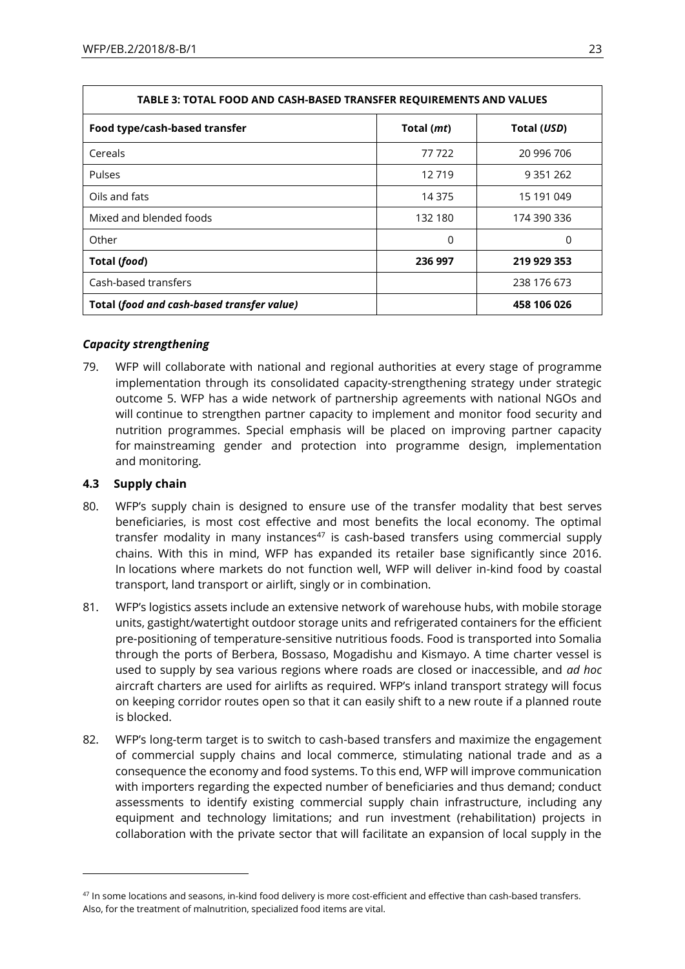| TABLE 3: TOTAL FOOD AND CASH-BASED TRANSFER REQUIREMENTS AND VALUES |            |               |  |  |  |
|---------------------------------------------------------------------|------------|---------------|--|--|--|
| Food type/cash-based transfer                                       | Total (mt) | Total (USD)   |  |  |  |
| Cereals                                                             | 77 722     | 20 996 706    |  |  |  |
| Pulses                                                              | 12719      | 9 3 5 1 2 6 2 |  |  |  |
| Oils and fats                                                       | 14 375     | 15 191 049    |  |  |  |
| Mixed and blended foods                                             | 132 180    | 174 390 336   |  |  |  |
| Other                                                               | $\Omega$   | 0             |  |  |  |
| Total (food)                                                        | 236 997    | 219 929 353   |  |  |  |
| Cash-based transfers                                                |            | 238 176 673   |  |  |  |
| Total (food and cash-based transfer value)                          |            | 458 106 026   |  |  |  |

## *Capacity strengthening*

79. WFP will collaborate with national and regional authorities at every stage of programme implementation through its consolidated capacity-strengthening strategy under strategic outcome 5. WFP has a wide network of partnership agreements with national NGOs and will continue to strengthen partner capacity to implement and monitor food security and nutrition programmes. Special emphasis will be placed on improving partner capacity for mainstreaming gender and protection into programme design, implementation and monitoring.

## **4.3 Supply chain**

1

- 80. WFP's supply chain is designed to ensure use of the transfer modality that best serves beneficiaries, is most cost effective and most benefits the local economy. The optimal transfer modality in many instances $47$  is cash-based transfers using commercial supply chains. With this in mind, WFP has expanded its retailer base significantly since 2016. In locations where markets do not function well, WFP will deliver in-kind food by coastal transport, land transport or airlift, singly or in combination.
- 81. WFP's logistics assets include an extensive network of warehouse hubs, with mobile storage units, gastight/watertight outdoor storage units and refrigerated containers for the efficient pre-positioning of temperature-sensitive nutritious foods. Food is transported into Somalia through the ports of Berbera, Bossaso, Mogadishu and Kismayo. A time charter vessel is used to supply by sea various regions where roads are closed or inaccessible, and *ad hoc* aircraft charters are used for airlifts as required. WFP's inland transport strategy will focus on keeping corridor routes open so that it can easily shift to a new route if a planned route is blocked.
- 82. WFP's long-term target is to switch to cash-based transfers and maximize the engagement of commercial supply chains and local commerce, stimulating national trade and as a consequence the economy and food systems. To this end, WFP will improve communication with importers regarding the expected number of beneficiaries and thus demand; conduct assessments to identify existing commercial supply chain infrastructure, including any equipment and technology limitations; and run investment (rehabilitation) projects in collaboration with the private sector that will facilitate an expansion of local supply in the

 $47$  In some locations and seasons, in-kind food delivery is more cost-efficient and effective than cash-based transfers. Also, for the treatment of malnutrition, specialized food items are vital.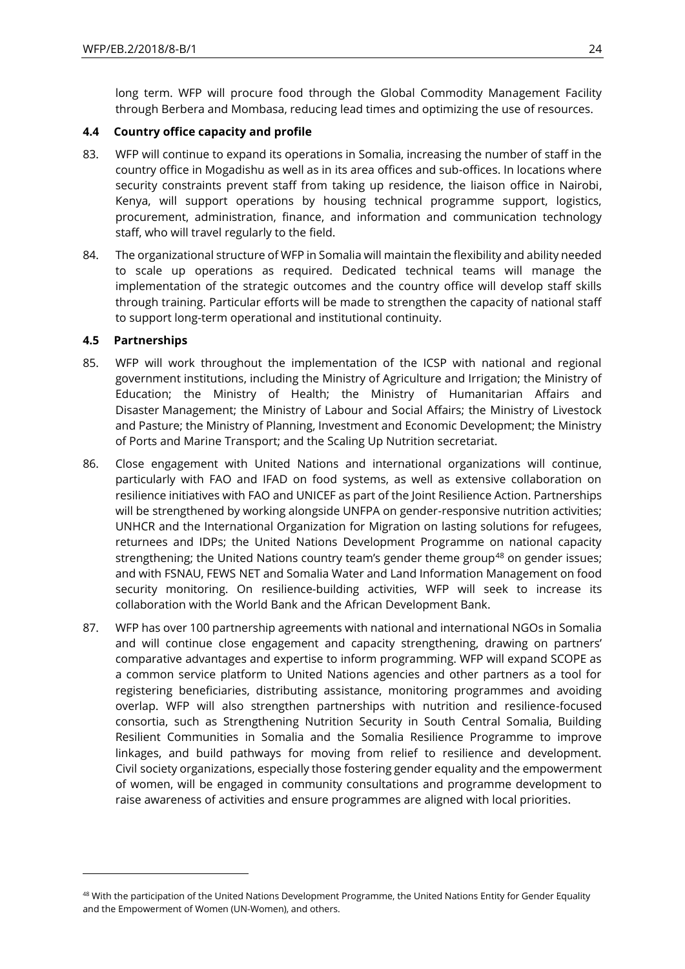long term. WFP will procure food through the Global Commodity Management Facility through Berbera and Mombasa, reducing lead times and optimizing the use of resources.

## **4.4 Country office capacity and profile**

- 83. WFP will continue to expand its operations in Somalia, increasing the number of staff in the country office in Mogadishu as well as in its area offices and sub-offices. In locations where security constraints prevent staff from taking up residence, the liaison office in Nairobi, Kenya, will support operations by housing technical programme support, logistics, procurement, administration, finance, and information and communication technology staff, who will travel regularly to the field.
- 84. The organizational structure of WFP in Somalia will maintain the flexibility and ability needed to scale up operations as required. Dedicated technical teams will manage the implementation of the strategic outcomes and the country office will develop staff skills through training. Particular efforts will be made to strengthen the capacity of national staff to support long-term operational and institutional continuity.

## **4.5 Partnerships**

1

- 85. WFP will work throughout the implementation of the ICSP with national and regional government institutions, including the Ministry of Agriculture and Irrigation; the Ministry of Education; the Ministry of Health; the Ministry of Humanitarian Affairs and Disaster Management; the Ministry of Labour and Social Affairs; the Ministry of Livestock and Pasture; the Ministry of Planning, Investment and Economic Development; the Ministry of Ports and Marine Transport; and the Scaling Up Nutrition secretariat.
- 86. Close engagement with United Nations and international organizations will continue, particularly with FAO and IFAD on food systems, as well as extensive collaboration on resilience initiatives with FAO and UNICEF as part of the Joint Resilience Action. Partnerships will be strengthened by working alongside UNFPA on gender-responsive nutrition activities; UNHCR and the International Organization for Migration on lasting solutions for refugees, returnees and IDPs; the United Nations Development Programme on national capacity strengthening; the United Nations country team's gender theme group<sup>48</sup> on gender issues; and with FSNAU, FEWS NET and Somalia Water and Land Information Management on food security monitoring. On resilience-building activities, WFP will seek to increase its collaboration with the World Bank and the African Development Bank.
- 87. WFP has over 100 partnership agreements with national and international NGOs in Somalia and will continue close engagement and capacity strengthening, drawing on partners' comparative advantages and expertise to inform programming. WFP will expand SCOPE as a common service platform to United Nations agencies and other partners as a tool for registering beneficiaries, distributing assistance, monitoring programmes and avoiding overlap. WFP will also strengthen partnerships with nutrition and resilience-focused consortia, such as Strengthening Nutrition Security in South Central Somalia, Building Resilient Communities in Somalia and the Somalia Resilience Programme to improve linkages, and build pathways for moving from relief to resilience and development. Civil society organizations, especially those fostering gender equality and the empowerment of women, will be engaged in community consultations and programme development to raise awareness of activities and ensure programmes are aligned with local priorities.

<sup>&</sup>lt;sup>48</sup> With the participation of the United Nations Development Programme, the United Nations Entity for Gender Equality and the Empowerment of Women (UN-Women), and others.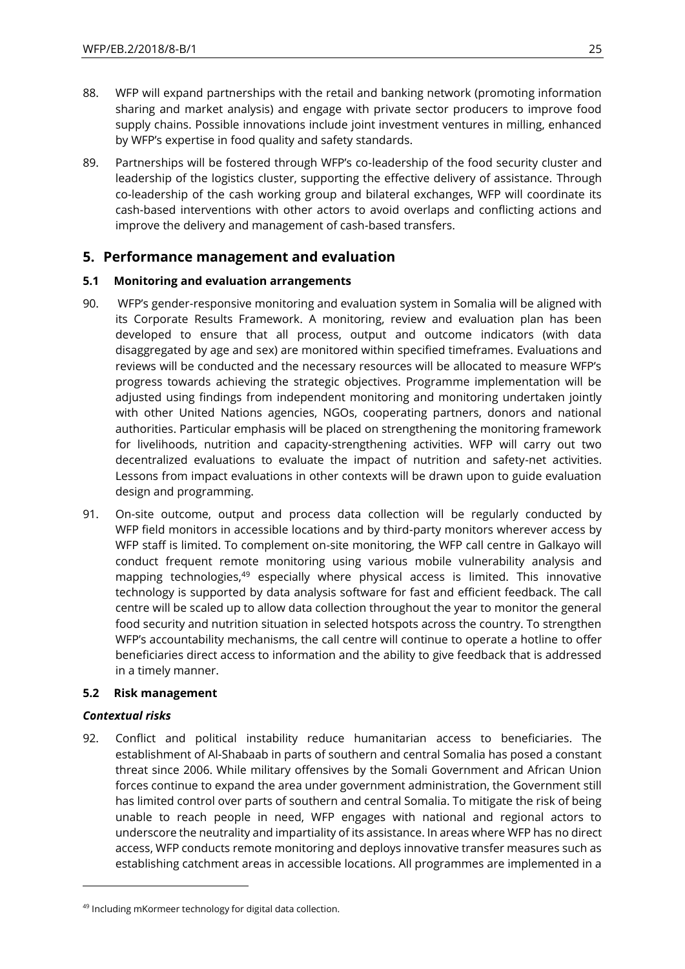- 88. WFP will expand partnerships with the retail and banking network (promoting information sharing and market analysis) and engage with private sector producers to improve food supply chains. Possible innovations include joint investment ventures in milling, enhanced by WFP's expertise in food quality and safety standards.
- 89. Partnerships will be fostered through WFP's co-leadership of the food security cluster and leadership of the logistics cluster, supporting the effective delivery of assistance. Through co-leadership of the cash working group and bilateral exchanges, WFP will coordinate its cash-based interventions with other actors to avoid overlaps and conflicting actions and improve the delivery and management of cash-based transfers.

## **5. Performance management and evaluation**

## **5.1 Monitoring and evaluation arrangements**

- 90. WFP's gender-responsive monitoring and evaluation system in Somalia will be aligned with its Corporate Results Framework. A monitoring, review and evaluation plan has been developed to ensure that all process, output and outcome indicators (with data disaggregated by age and sex) are monitored within specified timeframes. Evaluations and reviews will be conducted and the necessary resources will be allocated to measure WFP's progress towards achieving the strategic objectives. Programme implementation will be adjusted using findings from independent monitoring and monitoring undertaken jointly with other United Nations agencies, NGOs, cooperating partners, donors and national authorities. Particular emphasis will be placed on strengthening the monitoring framework for livelihoods, nutrition and capacity-strengthening activities. WFP will carry out two decentralized evaluations to evaluate the impact of nutrition and safety-net activities. Lessons from impact evaluations in other contexts will be drawn upon to guide evaluation design and programming.
- 91. On-site outcome, output and process data collection will be regularly conducted by WFP field monitors in accessible locations and by third-party monitors wherever access by WFP staff is limited. To complement on-site monitoring, the WFP call centre in Galkayo will conduct frequent remote monitoring using various mobile vulnerability analysis and mapping technologies,<sup>49</sup> especially where physical access is limited. This innovative technology is supported by data analysis software for fast and efficient feedback. The call centre will be scaled up to allow data collection throughout the year to monitor the general food security and nutrition situation in selected hotspots across the country. To strengthen WFP's accountability mechanisms, the call centre will continue to operate a hotline to offer beneficiaries direct access to information and the ability to give feedback that is addressed in a timely manner.

## **5.2 Risk management**

## *Contextual risks*

 $\overline{a}$ 

92. Conflict and political instability reduce humanitarian access to beneficiaries. The establishment of Al-Shabaab in parts of southern and central Somalia has posed a constant threat since 2006. While military offensives by the Somali Government and African Union forces continue to expand the area under government administration, the Government still has limited control over parts of southern and central Somalia. To mitigate the risk of being unable to reach people in need, WFP engages with national and regional actors to underscore the neutrality and impartiality of its assistance. In areas where WFP has no direct access, WFP conducts remote monitoring and deploys innovative transfer measures such as establishing catchment areas in accessible locations. All programmes are implemented in a

<sup>49</sup> Including mKormeer technology for digital data collection.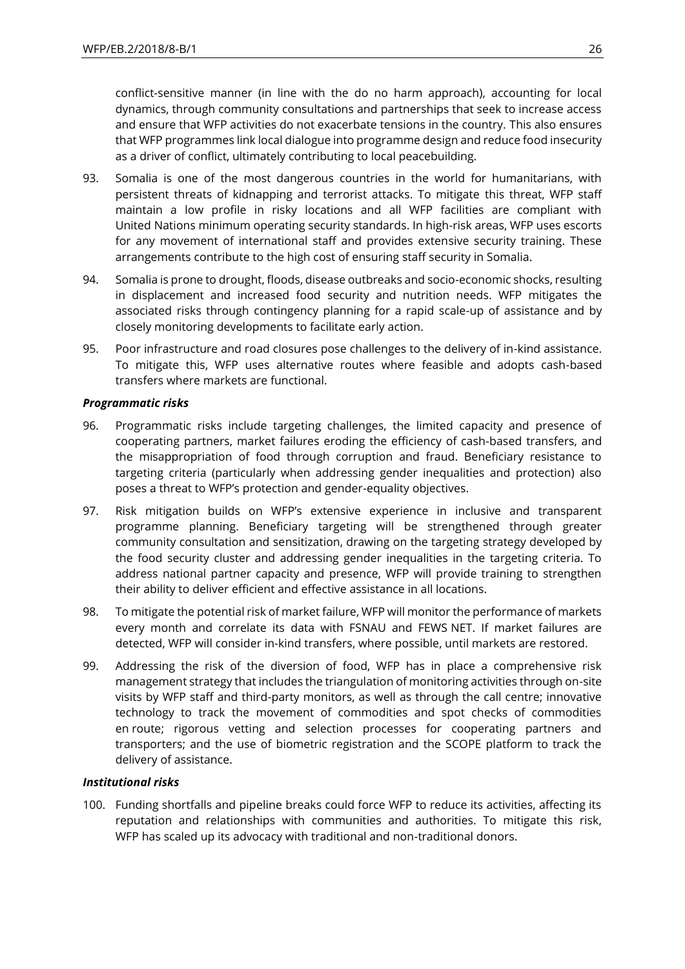conflict-sensitive manner (in line with the do no harm approach), accounting for local dynamics, through community consultations and partnerships that seek to increase access and ensure that WFP activities do not exacerbate tensions in the country. This also ensures that WFP programmes link local dialogue into programme design and reduce food insecurity as a driver of conflict, ultimately contributing to local peacebuilding.

- 93. Somalia is one of the most dangerous countries in the world for humanitarians, with persistent threats of kidnapping and terrorist attacks. To mitigate this threat, WFP staff maintain a low profile in risky locations and all WFP facilities are compliant with United Nations minimum operating security standards. In high-risk areas, WFP uses escorts for any movement of international staff and provides extensive security training. These arrangements contribute to the high cost of ensuring staff security in Somalia.
- 94. Somalia is prone to drought, floods, disease outbreaks and socio-economic shocks, resulting in displacement and increased food security and nutrition needs. WFP mitigates the associated risks through contingency planning for a rapid scale-up of assistance and by closely monitoring developments to facilitate early action.
- 95. Poor infrastructure and road closures pose challenges to the delivery of in-kind assistance. To mitigate this, WFP uses alternative routes where feasible and adopts cash-based transfers where markets are functional.

## *Programmatic risks*

- 96. Programmatic risks include targeting challenges, the limited capacity and presence of cooperating partners, market failures eroding the efficiency of cash-based transfers, and the misappropriation of food through corruption and fraud. Beneficiary resistance to targeting criteria (particularly when addressing gender inequalities and protection) also poses a threat to WFP's protection and gender-equality objectives.
- 97. Risk mitigation builds on WFP's extensive experience in inclusive and transparent programme planning. Beneficiary targeting will be strengthened through greater community consultation and sensitization, drawing on the targeting strategy developed by the food security cluster and addressing gender inequalities in the targeting criteria. To address national partner capacity and presence, WFP will provide training to strengthen their ability to deliver efficient and effective assistance in all locations.
- 98. To mitigate the potential risk of market failure, WFP will monitor the performance of markets every month and correlate its data with FSNAU and FEWS NET. If market failures are detected, WFP will consider in-kind transfers, where possible, until markets are restored.
- 99. Addressing the risk of the diversion of food, WFP has in place a comprehensive risk management strategy that includes the triangulation of monitoring activities through on-site visits by WFP staff and third-party monitors, as well as through the call centre; innovative technology to track the movement of commodities and spot checks of commodities en route; rigorous vetting and selection processes for cooperating partners and transporters; and the use of biometric registration and the SCOPE platform to track the delivery of assistance.

## *Institutional risks*

100. Funding shortfalls and pipeline breaks could force WFP to reduce its activities, affecting its reputation and relationships with communities and authorities. To mitigate this risk, WFP has scaled up its advocacy with traditional and non-traditional donors.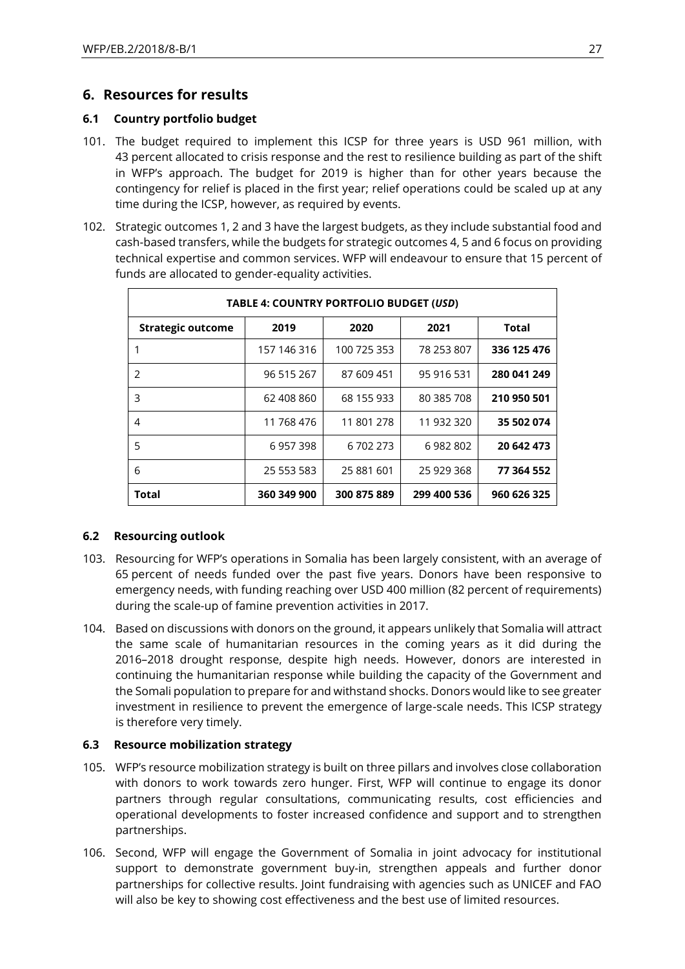## **6. Resources for results**

## **6.1 Country portfolio budget**

- 101. The budget required to implement this ICSP for three years is USD 961 million, with 43 percent allocated to crisis response and the rest to resilience building as part of the shift in WFP's approach. The budget for 2019 is higher than for other years because the contingency for relief is placed in the first year; relief operations could be scaled up at any time during the ICSP, however, as required by events.
- 102. Strategic outcomes 1, 2 and 3 have the largest budgets, as they include substantial food and cash-based transfers, while the budgets for strategic outcomes 4, 5 and 6 focus on providing technical expertise and common services. WFP will endeavour to ensure that 15 percent of funds are allocated to gender-equality activities.

| <b>TABLE 4: COUNTRY PORTFOLIO BUDGET (USD)</b> |             |             |             |             |  |  |
|------------------------------------------------|-------------|-------------|-------------|-------------|--|--|
| <b>Strategic outcome</b>                       | 2019        | 2020        | 2021        | Total       |  |  |
|                                                | 157 146 316 | 100 725 353 | 78 253 807  | 336 125 476 |  |  |
| $\mathcal{P}$                                  | 96 515 267  | 87 609 451  | 95 916 531  | 280 041 249 |  |  |
| 3                                              | 62 408 860  | 68 155 933  | 80 385 708  | 210 950 501 |  |  |
| 4                                              | 11 768 476  | 11 801 278  | 11 932 320  | 35 502 074  |  |  |
| 5                                              | 6957398     | 6 702 273   | 6982802     | 20 642 473  |  |  |
| 6                                              | 25 553 583  | 25 881 601  | 25 929 368  | 77 364 552  |  |  |
| <b>Total</b>                                   | 360 349 900 | 300 875 889 | 299 400 536 | 960 626 325 |  |  |

## **6.2 Resourcing outlook**

- 103. Resourcing for WFP's operations in Somalia has been largely consistent, with an average of 65 percent of needs funded over the past five years. Donors have been responsive to emergency needs, with funding reaching over USD 400 million (82 percent of requirements) during the scale-up of famine prevention activities in 2017.
- 104. Based on discussions with donors on the ground, it appears unlikely that Somalia will attract the same scale of humanitarian resources in the coming years as it did during the 2016–2018 drought response, despite high needs. However, donors are interested in continuing the humanitarian response while building the capacity of the Government and the Somali population to prepare for and withstand shocks. Donors would like to see greater investment in resilience to prevent the emergence of large-scale needs. This ICSP strategy is therefore very timely.

## **6.3 Resource mobilization strategy**

- 105. WFP's resource mobilization strategy is built on three pillars and involves close collaboration with donors to work towards zero hunger. First, WFP will continue to engage its donor partners through regular consultations, communicating results, cost efficiencies and operational developments to foster increased confidence and support and to strengthen partnerships.
- 106. Second, WFP will engage the Government of Somalia in joint advocacy for institutional support to demonstrate government buy-in, strengthen appeals and further donor partnerships for collective results. Joint fundraising with agencies such as UNICEF and FAO will also be key to showing cost effectiveness and the best use of limited resources.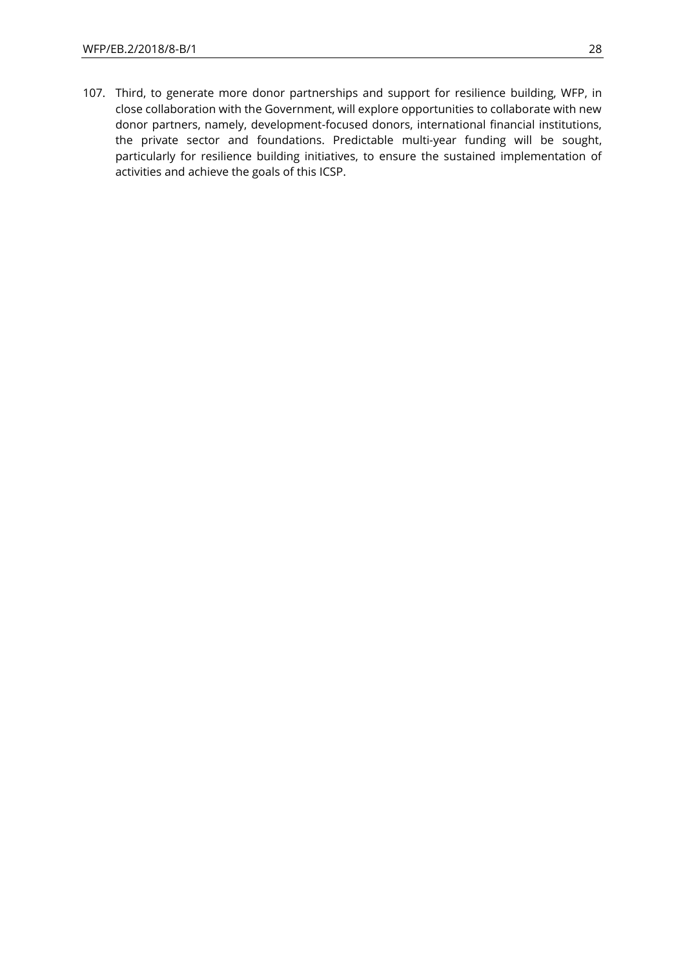107. Third, to generate more donor partnerships and support for resilience building, WFP, in close collaboration with the Government, will explore opportunities to collaborate with new donor partners, namely, development-focused donors, international financial institutions, the private sector and foundations. Predictable multi-year funding will be sought, particularly for resilience building initiatives, to ensure the sustained implementation of activities and achieve the goals of this ICSP.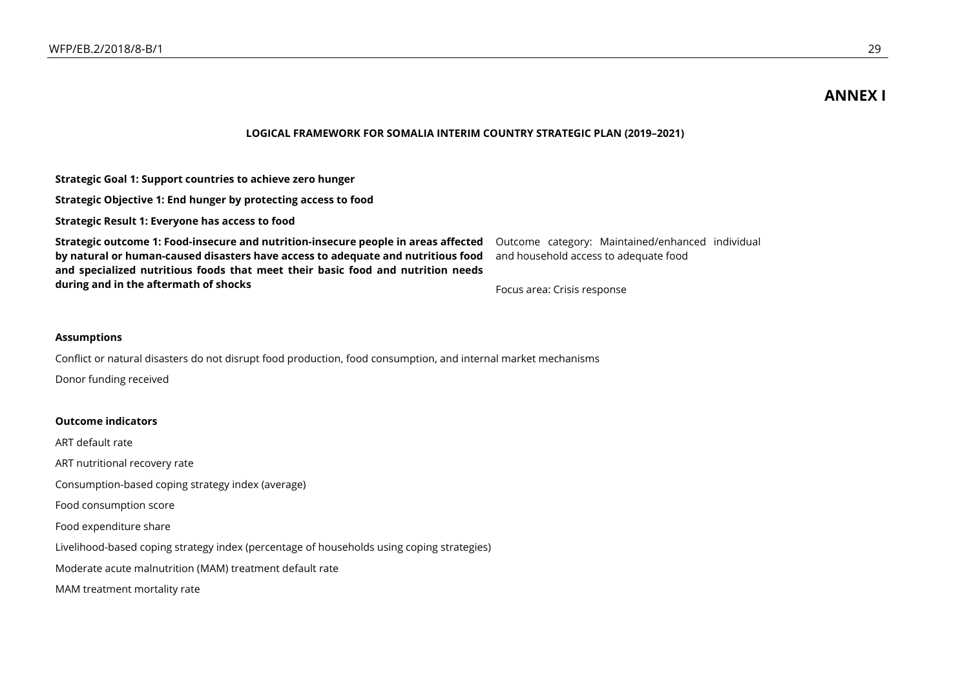## **ANNEX I**

### **LOGICAL FRAMEWORK FOR SOMALIA INTERIM COUNTRY STRATEGIC PLAN (2019–2021)**

**Strategic Goal 1: Support countries to achieve zero hunger**

**Strategic Objective 1: End hunger by protecting access to food**

**Strategic Result 1: Everyone has access to food**

**Strategic outcome 1: Food-insecure and nutrition-insecure people in areas affected by natural or human-caused disasters have access to adequate and nutritious food and specialized nutritious foods that meet their basic food and nutrition needs during and in the aftermath of shocks**

Outcome category: Maintained/enhanced individual and household access to adequate food

Focus area: Crisis response

#### **Assumptions**

Conflict or natural disasters do not disrupt food production, food consumption, and internal market mechanisms Donor funding received

#### **Outcome indicators**

ART default rate

ART nutritional recovery rate

Consumption-based coping strategy index (average)

Food consumption score

Food expenditure share

Livelihood-based coping strategy index (percentage of households using coping strategies)

Moderate acute malnutrition (MAM) treatment default rate

MAM treatment mortality rate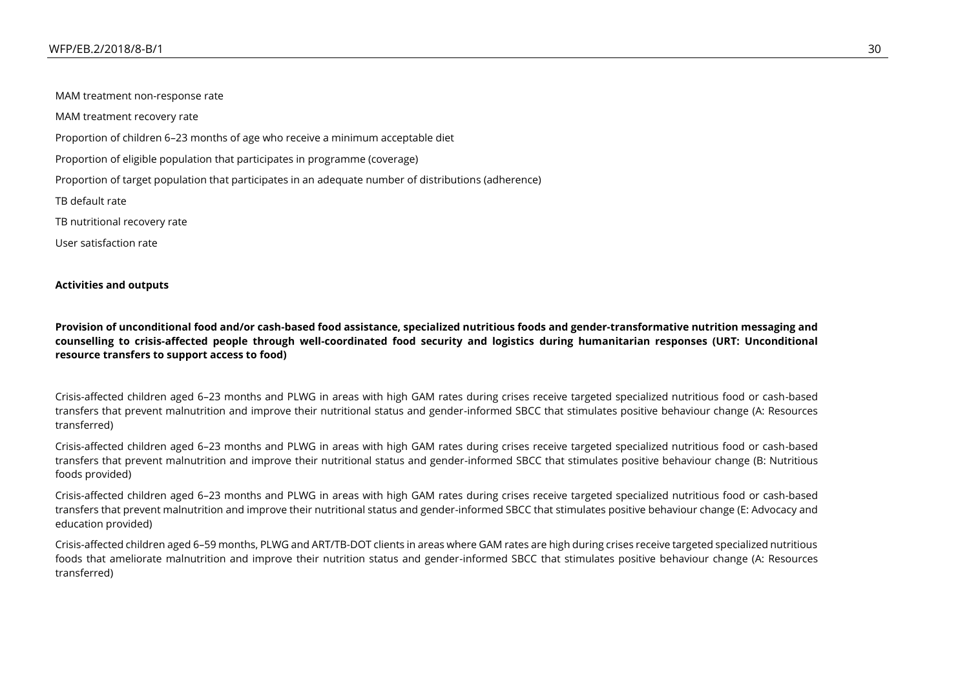MAM treatment non-response rate MAM treatment recovery rate Proportion of children 6–23 months of age who receive a minimum acceptable diet Proportion of eligible population that participates in programme (coverage) Proportion of target population that participates in an adequate number of distributions (adherence) TB default rate TB nutritional recovery rate User satisfaction rate

### **Activities and outputs**

**Provision of unconditional food and/or cash-based food assistance, specialized nutritious foods and gender-transformative nutrition messaging and counselling to crisis-affected people through well-coordinated food security and logistics during humanitarian responses (URT: Unconditional resource transfers to support access to food)**

Crisis-affected children aged 6–23 months and PLWG in areas with high GAM rates during crises receive targeted specialized nutritious food or cash-based transfers that prevent malnutrition and improve their nutritional status and gender-informed SBCC that stimulates positive behaviour change (A: Resources transferred)

Crisis-affected children aged 6–23 months and PLWG in areas with high GAM rates during crises receive targeted specialized nutritious food or cash-based transfers that prevent malnutrition and improve their nutritional status and gender-informed SBCC that stimulates positive behaviour change (B: Nutritious foods provided)

Crisis-affected children aged 6–23 months and PLWG in areas with high GAM rates during crises receive targeted specialized nutritious food or cash-based transfers that prevent malnutrition and improve their nutritional status and gender-informed SBCC that stimulates positive behaviour change (E: Advocacy and education provided)

Crisis-affected children aged 6–59 months, PLWG and ART/TB-DOT clients in areas where GAM rates are high during crises receive targeted specialized nutritious foods that ameliorate malnutrition and improve their nutrition status and gender-informed SBCC that stimulates positive behaviour change (A: Resources transferred)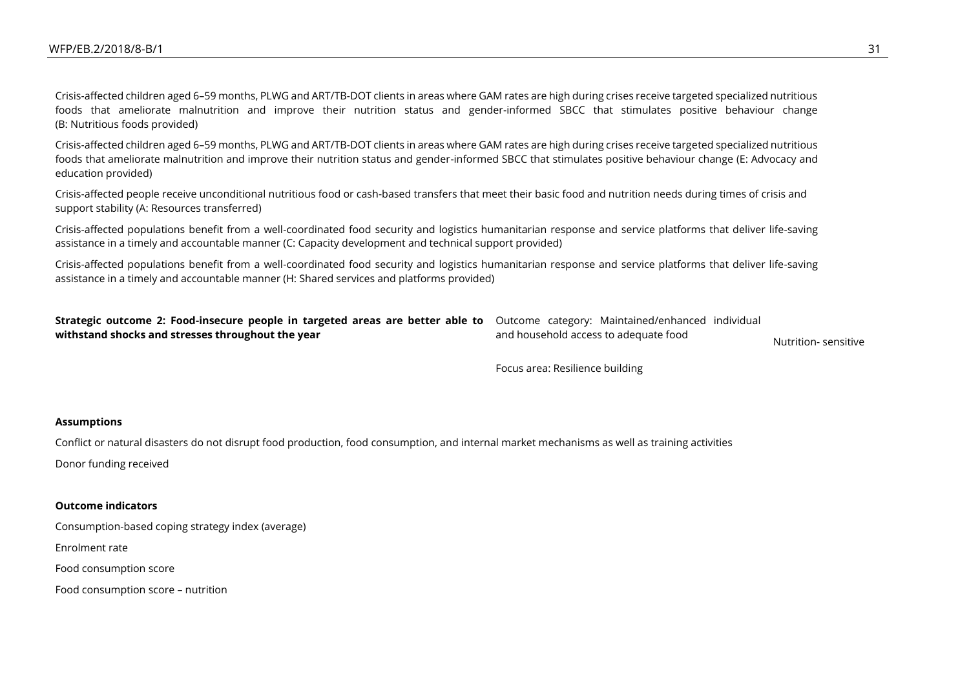Crisis-affected children aged 6–59 months, PLWG and ART/TB-DOT clients in areas where GAM rates are high during crises receive targeted specialized nutritious foods that ameliorate malnutrition and improve their nutrition status and gender-informed SBCC that stimulates positive behaviour change (B: Nutritious foods provided)

Crisis-affected children aged 6–59 months, PLWG and ART/TB-DOT clients in areas where GAM rates are high during crises receive targeted specialized nutritious foods that ameliorate malnutrition and improve their nutrition status and gender-informed SBCC that stimulates positive behaviour change (E: Advocacy and education provided)

Crisis-affected people receive unconditional nutritious food or cash-based transfers that meet their basic food and nutrition needs during times of crisis and support stability (A: Resources transferred)

Crisis-affected populations benefit from a well-coordinated food security and logistics humanitarian response and service platforms that deliver life-saving assistance in a timely and accountable manner (C: Capacity development and technical support provided)

Crisis-affected populations benefit from a well-coordinated food security and logistics humanitarian response and service platforms that deliver life-saving assistance in a timely and accountable manner (H: Shared services and platforms provided)

| Strategic outcome 2: Food-insecure people in targeted areas are better able to Outcome category: Maintained/enhanced individual |                                       |                      |
|---------------------------------------------------------------------------------------------------------------------------------|---------------------------------------|----------------------|
| withstand shocks and stresses throughout the year                                                                               | and household access to adequate food | Nutrition- sensitive |

Focus area: Resilience building

#### **Assumptions**

Conflict or natural disasters do not disrupt food production, food consumption, and internal market mechanisms as well as training activities Donor funding received

### **Outcome indicators**

Consumption-based coping strategy index (average)

Enrolment rate

Food consumption score

Food consumption score – nutrition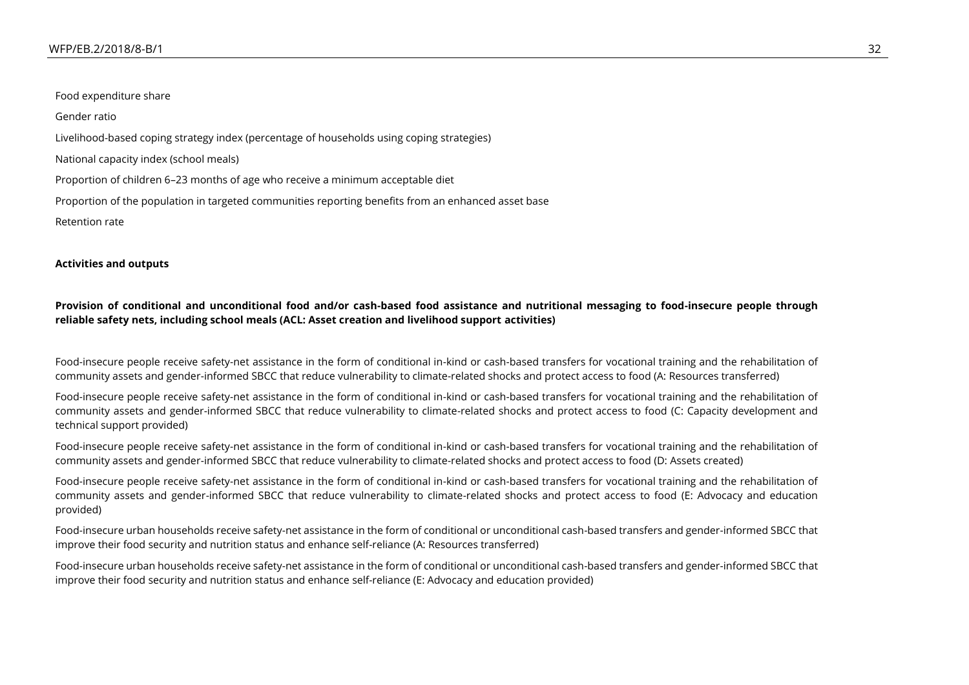Food expenditure share

Gender ratio

Livelihood-based coping strategy index (percentage of households using coping strategies)

National capacity index (school meals)

Proportion of children 6–23 months of age who receive a minimum acceptable diet

Proportion of the population in targeted communities reporting benefits from an enhanced asset base

Retention rate

**Activities and outputs**

**Provision of conditional and unconditional food and/or cash-based food assistance and nutritional messaging to food-insecure people through reliable safety nets, including school meals (ACL: Asset creation and livelihood support activities)**

Food-insecure people receive safety-net assistance in the form of conditional in-kind or cash-based transfers for vocational training and the rehabilitation of community assets and gender-informed SBCC that reduce vulnerability to climate-related shocks and protect access to food (A: Resources transferred)

Food-insecure people receive safety-net assistance in the form of conditional in-kind or cash-based transfers for vocational training and the rehabilitation of community assets and gender-informed SBCC that reduce vulnerability to climate-related shocks and protect access to food (C: Capacity development and technical support provided)

Food-insecure people receive safety-net assistance in the form of conditional in-kind or cash-based transfers for vocational training and the rehabilitation of community assets and gender-informed SBCC that reduce vulnerability to climate-related shocks and protect access to food (D: Assets created)

Food-insecure people receive safety-net assistance in the form of conditional in-kind or cash-based transfers for vocational training and the rehabilitation of community assets and gender-informed SBCC that reduce vulnerability to climate-related shocks and protect access to food (E: Advocacy and education provided)

Food-insecure urban households receive safety-net assistance in the form of conditional or unconditional cash-based transfers and gender-informed SBCC that improve their food security and nutrition status and enhance self-reliance (A: Resources transferred)

Food-insecure urban households receive safety-net assistance in the form of conditional or unconditional cash-based transfers and gender-informed SBCC that improve their food security and nutrition status and enhance self-reliance (E: Advocacy and education provided)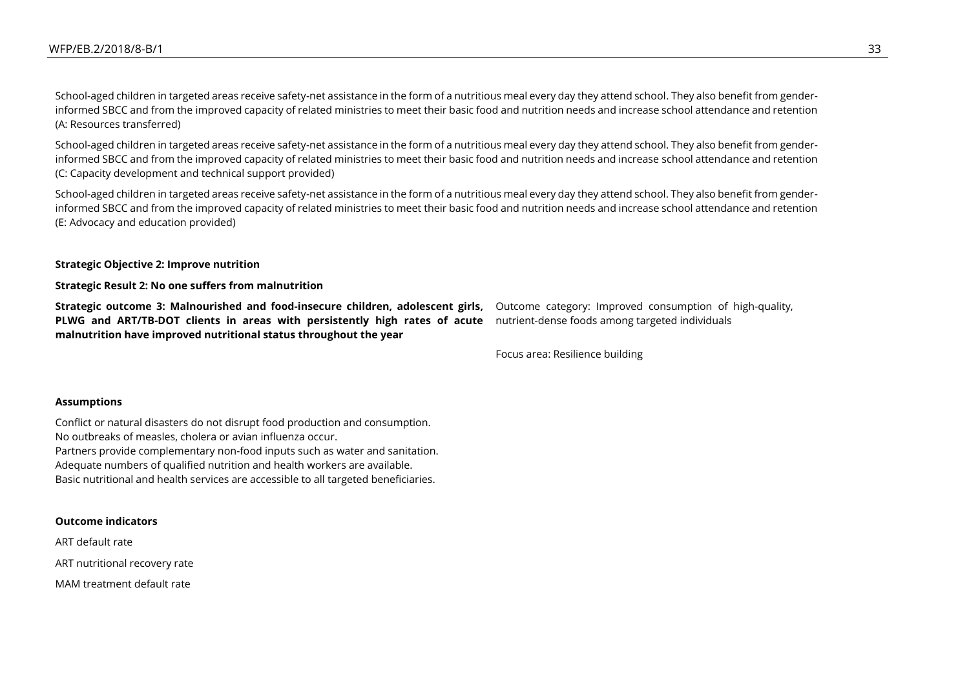School-aged children in targeted areas receive safety-net assistance in the form of a nutritious meal every day they attend school. They also benefit from genderinformed SBCC and from the improved capacity of related ministries to meet their basic food and nutrition needs and increase school attendance and retention (A: Resources transferred)

School-aged children in targeted areas receive safety-net assistance in the form of a nutritious meal every day they attend school. They also benefit from genderinformed SBCC and from the improved capacity of related ministries to meet their basic food and nutrition needs and increase school attendance and retention (C: Capacity development and technical support provided)

School-aged children in targeted areas receive safety-net assistance in the form of a nutritious meal every day they attend school. They also benefit from genderinformed SBCC and from the improved capacity of related ministries to meet their basic food and nutrition needs and increase school attendance and retention (E: Advocacy and education provided)

#### **Strategic Objective 2: Improve nutrition**

**Strategic Result 2: No one suffers from malnutrition**

**Strategic outcome 3: Malnourished and food-insecure children, adolescent girls, PLWG and ART/TB-DOT clients in areas with persistently high rates of acute**  nutrient-dense foods among targeted individuals **malnutrition have improved nutritional status throughout the year**

Outcome category: Improved consumption of high-quality,

Focus area: Resilience building

#### **Assumptions**

Conflict or natural disasters do not disrupt food production and consumption. No outbreaks of measles, cholera or avian influenza occur. Partners provide complementary non-food inputs such as water and sanitation. Adequate numbers of qualified nutrition and health workers are available. Basic nutritional and health services are accessible to all targeted beneficiaries.

#### **Outcome indicators**

ART default rate

ART nutritional recovery rate

MAM treatment default rate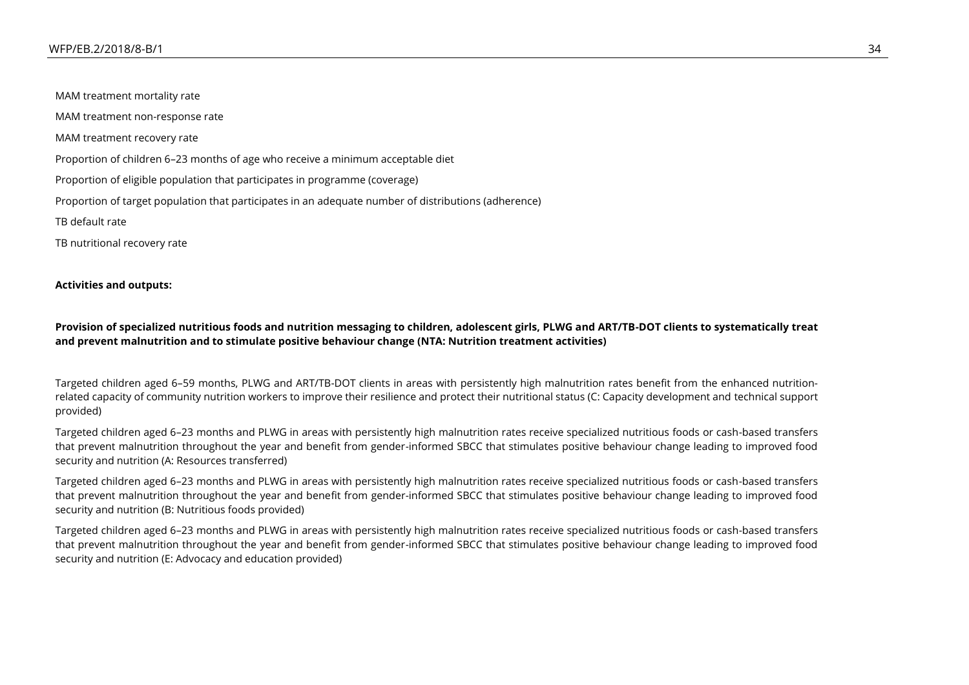MAM treatment mortality rate MAM treatment non-response rate MAM treatment recovery rate Proportion of children 6–23 months of age who receive a minimum acceptable diet Proportion of eligible population that participates in programme (coverage) Proportion of target population that participates in an adequate number of distributions (adherence) TB default rate TB nutritional recovery rate

### **Activities and outputs:**

### **Provision of specialized nutritious foods and nutrition messaging to children, adolescent girls, PLWG and ART/TB-DOT clients to systematically treat and prevent malnutrition and to stimulate positive behaviour change (NTA: Nutrition treatment activities)**

Targeted children aged 6–59 months, PLWG and ART/TB-DOT clients in areas with persistently high malnutrition rates benefit from the enhanced nutritionrelated capacity of community nutrition workers to improve their resilience and protect their nutritional status (C: Capacity development and technical support provided)

Targeted children aged 6–23 months and PLWG in areas with persistently high malnutrition rates receive specialized nutritious foods or cash-based transfers that prevent malnutrition throughout the year and benefit from gender-informed SBCC that stimulates positive behaviour change leading to improved food security and nutrition (A: Resources transferred)

Targeted children aged 6–23 months and PLWG in areas with persistently high malnutrition rates receive specialized nutritious foods or cash-based transfers that prevent malnutrition throughout the year and benefit from gender-informed SBCC that stimulates positive behaviour change leading to improved food security and nutrition (B: Nutritious foods provided)

Targeted children aged 6–23 months and PLWG in areas with persistently high malnutrition rates receive specialized nutritious foods or cash-based transfers that prevent malnutrition throughout the year and benefit from gender-informed SBCC that stimulates positive behaviour change leading to improved food security and nutrition (E: Advocacy and education provided)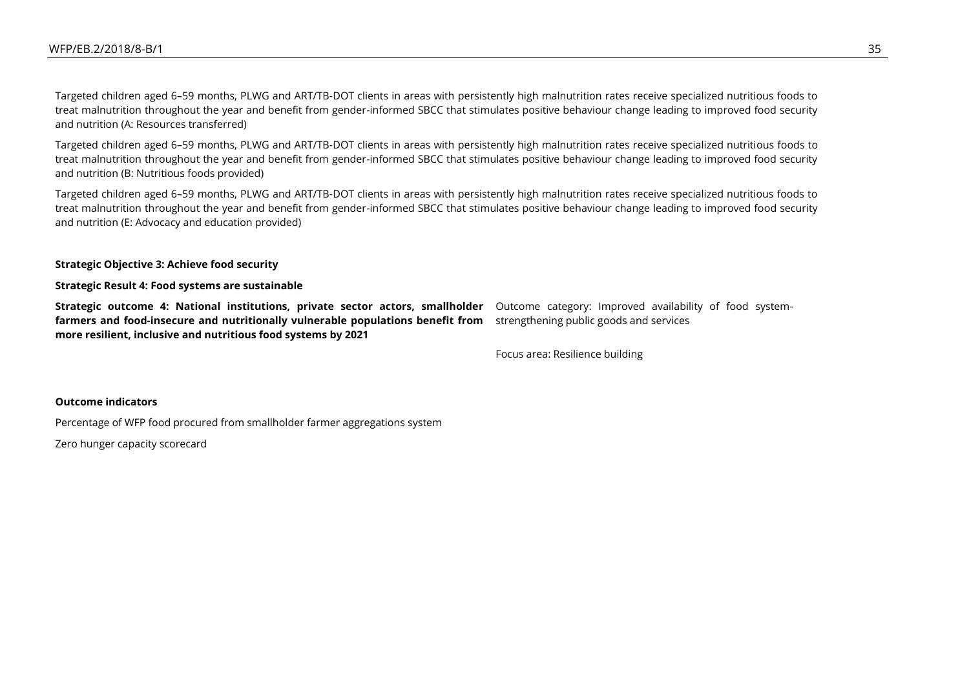Targeted children aged 6–59 months, PLWG and ART/TB-DOT clients in areas with persistently high malnutrition rates receive specialized nutritious foods to treat malnutrition throughout the year and benefit from gender-informed SBCC that stimulates positive behaviour change leading to improved food security and nutrition (A: Resources transferred)

Targeted children aged 6–59 months, PLWG and ART/TB-DOT clients in areas with persistently high malnutrition rates receive specialized nutritious foods to treat malnutrition throughout the year and benefit from gender-informed SBCC that stimulates positive behaviour change leading to improved food security and nutrition (B: Nutritious foods provided)

Targeted children aged 6–59 months, PLWG and ART/TB-DOT clients in areas with persistently high malnutrition rates receive specialized nutritious foods to treat malnutrition throughout the year and benefit from gender-informed SBCC that stimulates positive behaviour change leading to improved food security and nutrition (E: Advocacy and education provided)

#### **Strategic Objective 3: Achieve food security**

#### **Strategic Result 4: Food systems are sustainable**

**Strategic outcome 4: National institutions, private sector actors, smallholder** Outcome category: Improved availability of food system**farmers and food-insecure and nutritionally vulnerable populations benefit from**  strengthening public goods and services **more resilient, inclusive and nutritious food systems by 2021**

Focus area: Resilience building

### **Outcome indicators**

Percentage of WFP food procured from smallholder farmer aggregations system

Zero hunger capacity scorecard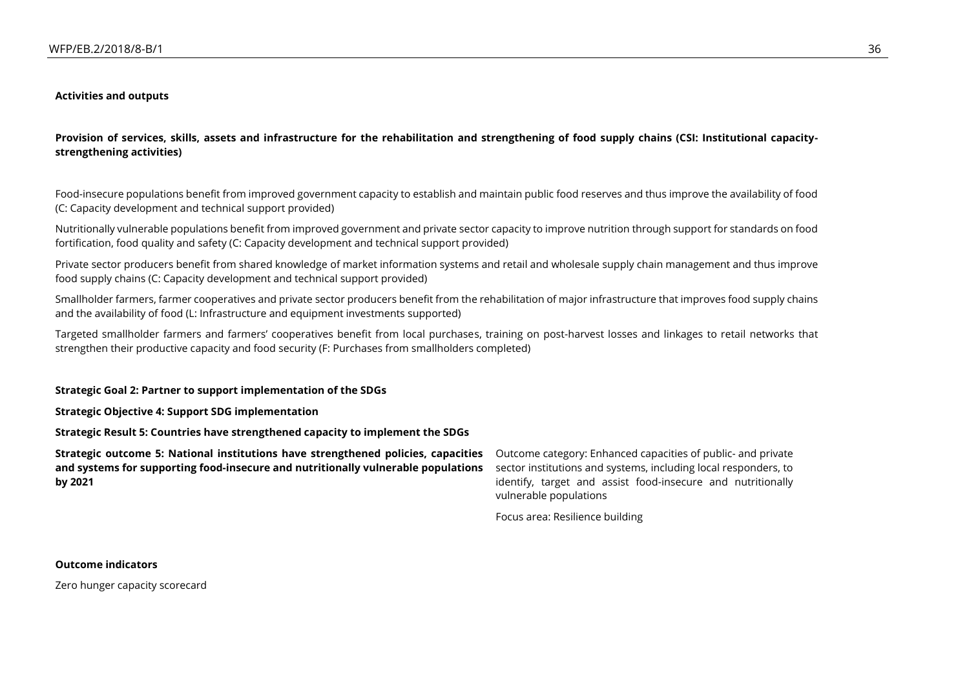#### **Activities and outputs**

**Provision of services, skills, assets and infrastructure for the rehabilitation and strengthening of food supply chains (CSI: Institutional capacitystrengthening activities)**

Food-insecure populations benefit from improved government capacity to establish and maintain public food reserves and thus improve the availability of food (C: Capacity development and technical support provided)

Nutritionally vulnerable populations benefit from improved government and private sector capacity to improve nutrition through support for standards on food fortification, food quality and safety (C: Capacity development and technical support provided)

Private sector producers benefit from shared knowledge of market information systems and retail and wholesale supply chain management and thus improve food supply chains (C: Capacity development and technical support provided)

Smallholder farmers, farmer cooperatives and private sector producers benefit from the rehabilitation of major infrastructure that improves food supply chains and the availability of food (L: Infrastructure and equipment investments supported)

Targeted smallholder farmers and farmers' cooperatives benefit from local purchases, training on post-harvest losses and linkages to retail networks that strengthen their productive capacity and food security (F: Purchases from smallholders completed)

#### **Strategic Goal 2: Partner to support implementation of the SDGs**

**Strategic Objective 4: Support SDG implementation**

**Strategic Result 5: Countries have strengthened capacity to implement the SDGs**

**Strategic outcome 5: National institutions have strengthened policies, capacities and systems for supporting food-insecure and nutritionally vulnerable populations by 2021**

Outcome category: Enhanced capacities of public- and private sector institutions and systems, including local responders, to identify, target and assist food-insecure and nutritionally vulnerable populations

Focus area: Resilience building

**Outcome indicators**

Zero hunger capacity scorecard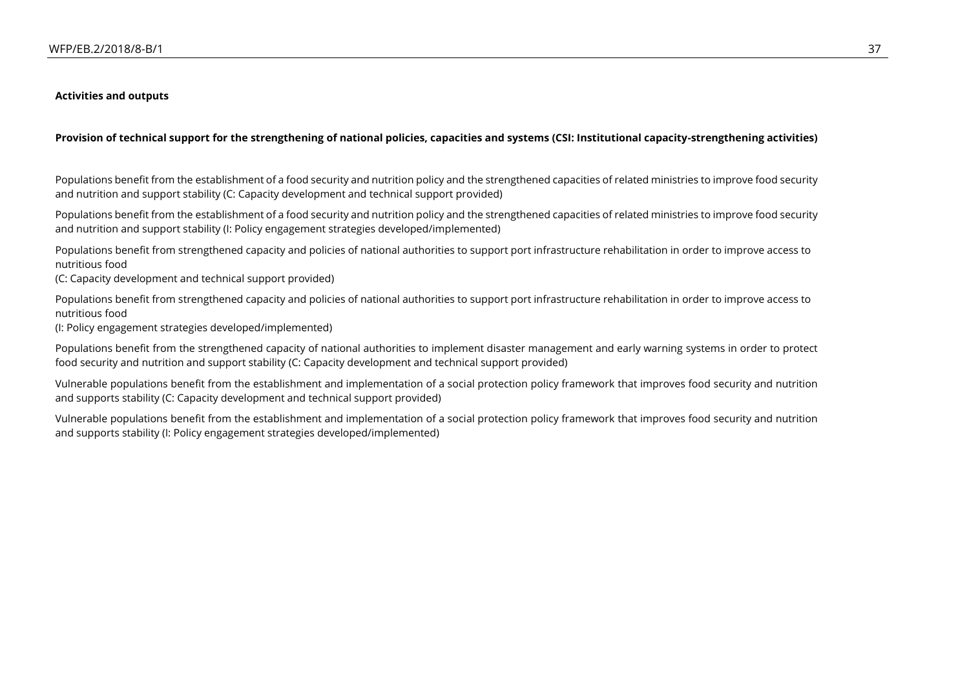### **Activities and outputs**

### **Provision of technical support for the strengthening of national policies, capacities and systems (CSI: Institutional capacity-strengthening activities)**

Populations benefit from the establishment of a food security and nutrition policy and the strengthened capacities of related ministries to improve food security and nutrition and support stability (C: Capacity development and technical support provided)

Populations benefit from the establishment of a food security and nutrition policy and the strengthened capacities of related ministries to improve food security and nutrition and support stability (I: Policy engagement strategies developed/implemented)

Populations benefit from strengthened capacity and policies of national authorities to support port infrastructure rehabilitation in order to improve access to nutritious food

(C: Capacity development and technical support provided)

Populations benefit from strengthened capacity and policies of national authorities to support port infrastructure rehabilitation in order to improve access to nutritious food

(I: Policy engagement strategies developed/implemented)

Populations benefit from the strengthened capacity of national authorities to implement disaster management and early warning systems in order to protect food security and nutrition and support stability (C: Capacity development and technical support provided)

Vulnerable populations benefit from the establishment and implementation of a social protection policy framework that improves food security and nutrition and supports stability (C: Capacity development and technical support provided)

Vulnerable populations benefit from the establishment and implementation of a social protection policy framework that improves food security and nutrition and supports stability (I: Policy engagement strategies developed/implemented)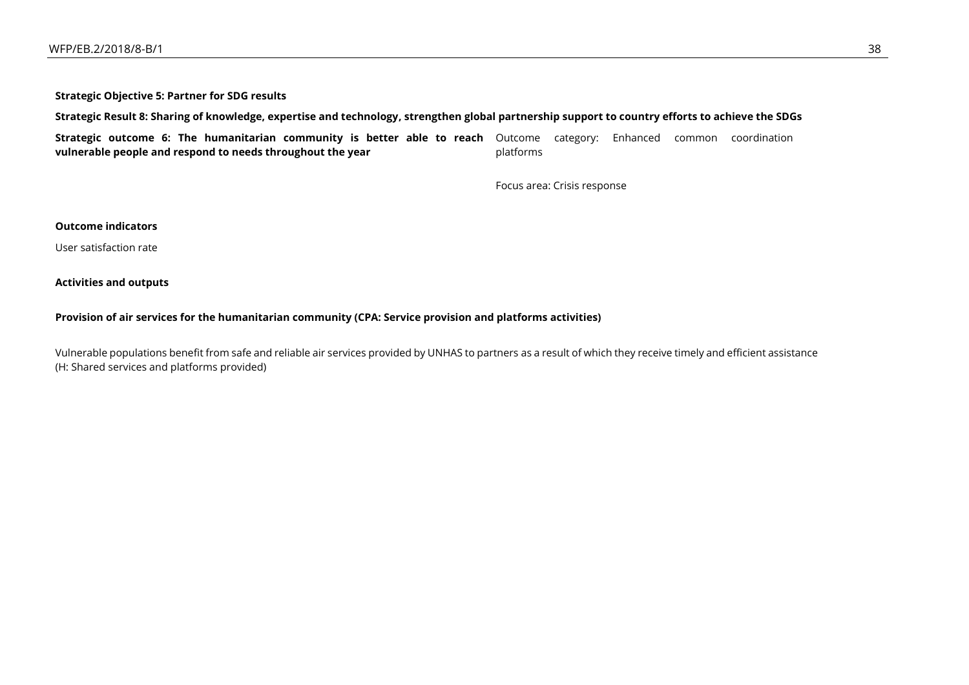**Strategic Objective 5: Partner for SDG results**

**Strategic Result 8: Sharing of knowledge, expertise and technology, strengthen global partnership support to country efforts to achieve the SDGs**

**Strategic outcome 6: The humanitarian community is better able to reach**  Outcome category: Enhanced common coordination **vulnerable people and respond to needs throughout the year** platforms

Focus area: Crisis response

### **Outcome indicators**

User satisfaction rate

**Activities and outputs**

### **Provision of air services for the humanitarian community (CPA: Service provision and platforms activities)**

Vulnerable populations benefit from safe and reliable air services provided by UNHAS to partners as a result of which they receive timely and efficient assistance (H: Shared services and platforms provided)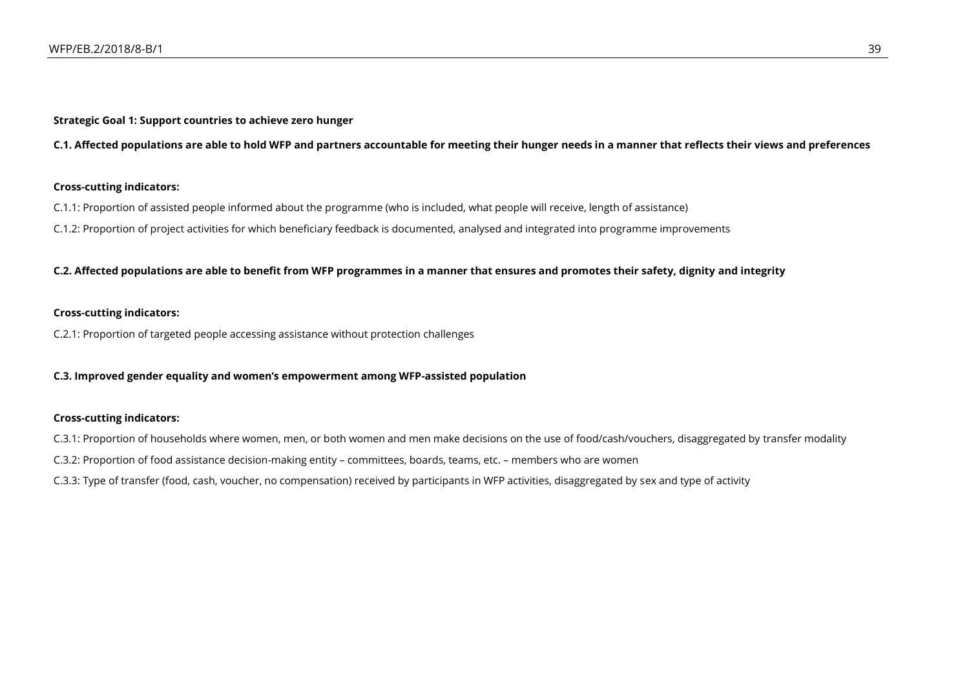**Strategic Goal 1: Support countries to achieve zero hunger**

**C.1. Affected populations are able to hold WFP and partners accountable for meeting their hunger needs in a manner that reflects their views and preferences**

### **Cross-cutting indicators:**

C.1.1: Proportion of assisted people informed about the programme (who is included, what people will receive, length of assistance)

C.1.2: Proportion of project activities for which beneficiary feedback is documented, analysed and integrated into programme improvements

### **C.2. Affected populations are able to benefit from WFP programmes in a manner that ensures and promotes their safety, dignity and integrity**

### **Cross-cutting indicators:**

C.2.1: Proportion of targeted people accessing assistance without protection challenges

**C.3. Improved gender equality and women's empowerment among WFP-assisted population**

### **Cross-cutting indicators:**

C.3.1: Proportion of households where women, men, or both women and men make decisions on the use of food/cash/vouchers, disaggregated by transfer modality

C.3.2: Proportion of food assistance decision-making entity – committees, boards, teams, etc. – members who are women

C.3.3: Type of transfer (food, cash, voucher, no compensation) received by participants in WFP activities, disaggregated by sex and type of activity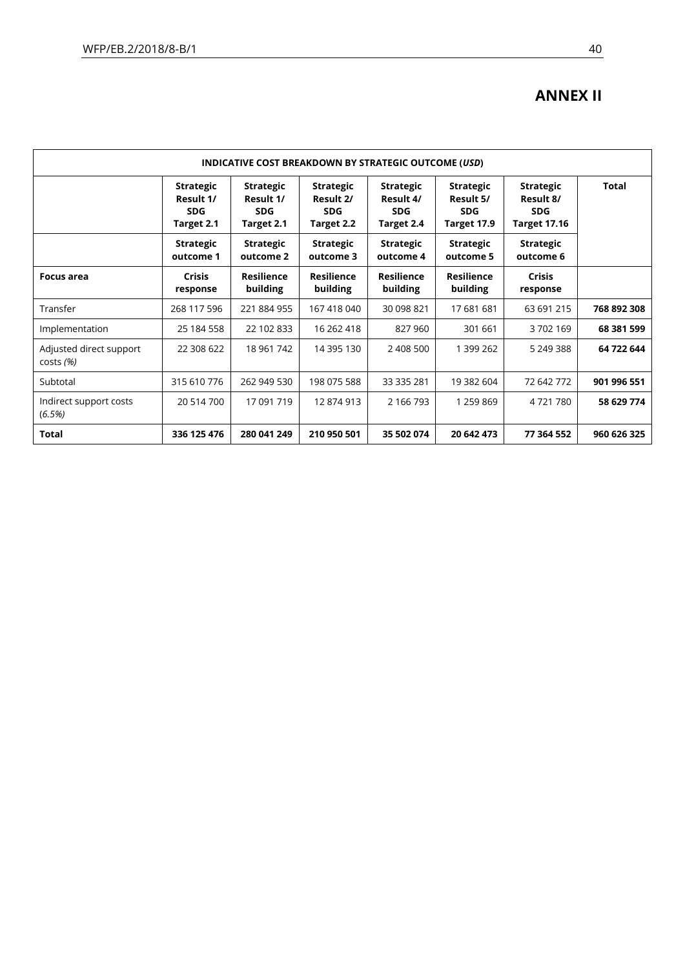## **ANNEX II**

| <b>INDICATIVE COST BREAKDOWN BY STRATEGIC OUTCOME (USD)</b> |                                                           |                                                           |                                                           |                                                           |                                                            |                                                                    |             |
|-------------------------------------------------------------|-----------------------------------------------------------|-----------------------------------------------------------|-----------------------------------------------------------|-----------------------------------------------------------|------------------------------------------------------------|--------------------------------------------------------------------|-------------|
|                                                             | <b>Strategic</b><br>Result 1/<br><b>SDG</b><br>Target 2.1 | <b>Strategic</b><br>Result 1/<br><b>SDG</b><br>Target 2.1 | <b>Strategic</b><br>Result 2/<br><b>SDG</b><br>Target 2.2 | <b>Strategic</b><br>Result 4/<br><b>SDG</b><br>Target 2.4 | <b>Strategic</b><br>Result 5/<br><b>SDG</b><br>Target 17.9 | <b>Strategic</b><br>Result 8/<br><b>SDG</b><br><b>Target 17.16</b> | Total       |
|                                                             | <b>Strategic</b><br>outcome 1                             | <b>Strategic</b><br>outcome 2                             | <b>Strategic</b><br>outcome 3                             | <b>Strategic</b><br>outcome 4                             | <b>Strategic</b><br>outcome 5                              | <b>Strategic</b><br>outcome 6                                      |             |
| Focus area                                                  | <b>Crisis</b><br>response                                 | <b>Resilience</b><br>building                             | <b>Resilience</b><br>building                             | <b>Resilience</b><br>building                             | <b>Resilience</b><br>building                              | <b>Crisis</b><br>response                                          |             |
| Transfer                                                    | 268 117 596                                               | 221 884 955                                               | 167 418 040                                               | 30 098 821                                                | 17 681 681                                                 | 63 691 215                                                         | 768 892 308 |
| Implementation                                              | 25 184 558                                                | 22 102 833                                                | 16 262 418                                                | 827 960                                                   | 301 661                                                    | 3702169                                                            | 68 381 599  |
| Adjusted direct support<br>$costs(\%)$                      | 22 308 622                                                | 18 961 742                                                | 14 395 130                                                | 2 408 500                                                 | 1 399 262                                                  | 5 249 388                                                          | 64 722 644  |
| Subtotal                                                    | 315 610 776                                               | 262 949 530                                               | 198 075 588                                               | 33 335 281                                                | 19 382 604                                                 | 72 642 772                                                         | 901 996 551 |
| Indirect support costs<br>(6.5%)                            | 20 514 700                                                | 17 091 719                                                | 12874913                                                  | 2 166 793                                                 | 1 259 869                                                  | 4721780                                                            | 58 629 774  |
| Total                                                       | 336 125 476                                               | 280 041 249                                               | 210 950 501                                               | 35 502 074                                                | 20 642 473                                                 | 77 364 552                                                         | 960 626 325 |